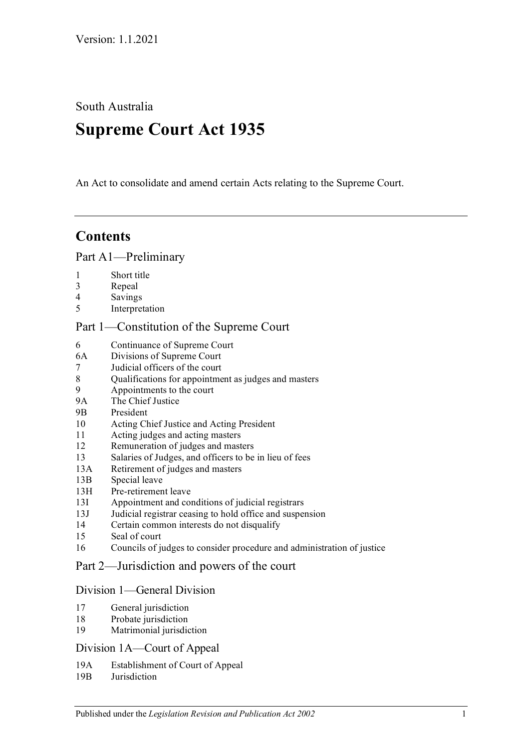South Australia

# **Supreme Court Act 1935**

An Act to consolidate and amend certain Acts relating to the Supreme Court.

# **Contents**

#### [Part A1—Preliminary](#page-3-0)

- 1 [Short title](#page-3-1)
- 3 [Repeal](#page-3-2)
- 4 [Savings](#page-3-3)
- 5 [Interpretation](#page-3-4)

## [Part 1—Constitution of the Supreme Court](#page-5-0)

- 6 [Continuance of Supreme Court](#page-5-1)
- 6A [Divisions of Supreme Court](#page-5-2)
- 7 [Judicial officers of the court](#page-5-3)
- 8 [Qualifications for appointment as judges and masters](#page-5-4)
- 9 [Appointments to the court](#page-6-0)
- 9A [The Chief Justice](#page-6-1)
- 9B [President](#page-6-2)
- 10 [Acting Chief Justice and Acting President](#page-6-3)
- 11 [Acting judges and acting masters](#page-7-0)
- 12 [Remuneration of judges and masters](#page-8-0)
- 13 [Salaries of Judges, and officers to be in lieu of fees](#page-8-1)
- 13A [Retirement of judges and masters](#page-8-2)
- 13B [Special leave](#page-8-3)
- 13H [Pre-retirement leave](#page-8-4)
- 13I [Appointment and conditions of judicial registrars](#page-10-0)
- 13J [Judicial registrar ceasing to hold office and suspension](#page-11-0)
- 14 [Certain common interests do not disqualify](#page-11-1)
- 15 [Seal of court](#page-11-2)
- 16 [Councils of judges to consider procedure and administration of justice](#page-12-0)

## [Part 2—Jurisdiction and powers of the court](#page-12-1)

#### [Division 1—General Division](#page-12-2)

- 17 [General jurisdiction](#page-12-3)
- 18 [Probate jurisdiction](#page-13-0)
- 19 [Matrimonial jurisdiction](#page-13-1)

#### [Division 1A—Court of Appeal](#page-13-2)

- 19A [Establishment of Court of Appeal](#page-13-3)
- 19B [Jurisdiction](#page-13-4)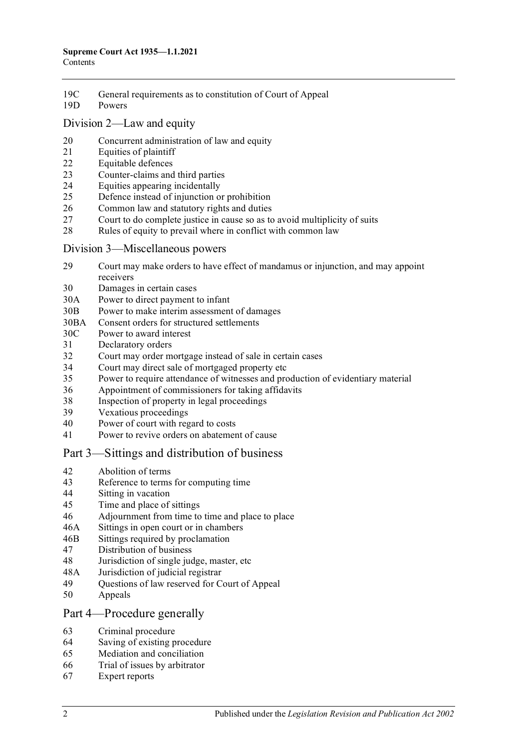- 19C General requirements [as to constitution of Court of Appeal](#page-14-0)
- 19D [Powers](#page-14-1)

#### [Division 2—Law and equity](#page-14-2)

- [Concurrent administration of law and equity](#page-14-3)
- [Equities of plaintiff](#page-14-4)
- [Equitable defences](#page-14-5)
- [Counter-claims and third parties](#page-15-0)
- [Equities appearing incidentally](#page-15-1)
- [Defence instead of injunction or prohibition](#page-15-2)
- [Common law and statutory rights and duties](#page-16-0)
- [Court to do complete justice in cause so as to avoid multiplicity of suits](#page-16-1)
- [Rules of equity to prevail where in conflict with common law](#page-16-2)

#### [Division 3—Miscellaneous powers](#page-16-3)

- [Court may make orders to have effect of mandamus or injunction, and may appoint](#page-16-4)  [receivers](#page-16-4)
- [Damages in certain cases](#page-17-0)
- 30A [Power to direct payment to infant](#page-17-1)
- 30B [Power to make interim assessment of damages](#page-17-2)
- 30BA [Consent orders for structured settlements](#page-19-0)
- 30C [Power to award interest](#page-19-1)
- [Declaratory orders](#page-20-0)
- [Court may order mortgage instead of sale in certain cases](#page-20-1)
- [Court may direct sale of mortgaged property etc](#page-21-0)<br>35 Power to require attendance of witnesses and pro
- [Power to require attendance of witnesses and production of evidentiary material](#page-21-1)
- [Appointment of commissioners for taking affidavits](#page-21-2)
- [Inspection of property in legal proceedings](#page-21-3)
- [Vexatious proceedings](#page-22-0)<br>40 Power of court with res
- [Power of court with regard to costs](#page-22-1)
- [Power to revive orders on abatement of cause](#page-23-0)

#### [Part 3—Sittings and distribution of business](#page-23-1)

- [Abolition of terms](#page-23-2)
- [Reference to terms for computing time](#page-23-3)<br>44 Sitting in vacation
- [Sitting in vacation](#page-23-4)
- [Time and place of sittings](#page-23-5)
- [Adjournment from time to time and place to place](#page-24-0)
- 46A [Sittings in open court or in chambers](#page-24-1)
- 46B [Sittings required by proclamation](#page-24-2)
- [Distribution of business](#page-24-3)
- [Jurisdiction of single judge, master, etc](#page-24-4)
- 48A [Jurisdiction of judicial registrar](#page-25-0)
- [Questions of law reserved for Court of Appeal](#page-25-1)
- [Appeals](#page-25-2)

#### [Part 4—Procedure generally](#page-26-0)

- [Criminal procedure](#page-26-1)
- [Saving of existing procedure](#page-26-2)
- [Mediation and conciliation](#page-26-3)
- [Trial of issues by arbitrator](#page-27-0)
- [Expert reports](#page-27-1)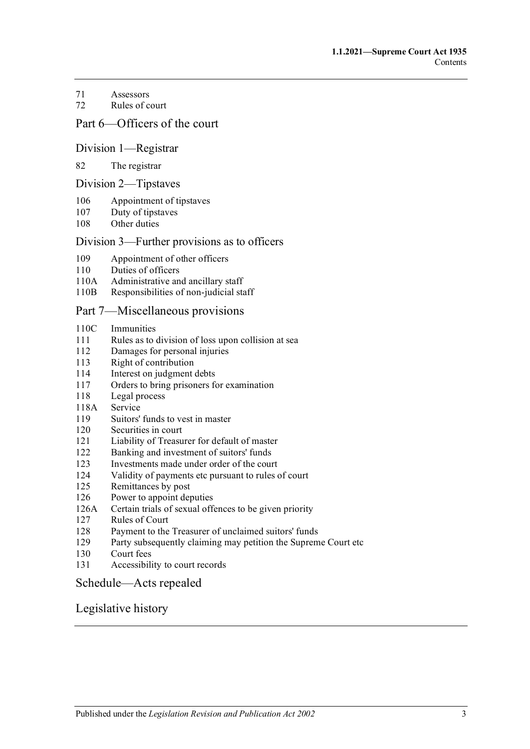#### 71 [Assessors](#page-28-0)

72 [Rules of court](#page-28-1)

## [Part 6—Officers of the court](#page-29-0)

#### [Division 1—Registrar](#page-29-1)

#### 82 [The registrar](#page-29-2)

#### [Division 2—Tipstaves](#page-30-0)

- 106 [Appointment of tipstaves](#page-30-1)
- 107 [Duty of tipstaves](#page-30-2)
- 108 [Other duties](#page-30-3)

#### [Division 3—Further provisions as to officers](#page-30-4)

- 109 [Appointment of other officers](#page-30-5)
- 110 [Duties of officers](#page-30-6)
- 110A [Administrative and ancillary staff](#page-31-0)
- 110B [Responsibilities of non-judicial staff](#page-31-1)

#### [Part 7—Miscellaneous provisions](#page-31-2)

- 110C [Immunities](#page-31-3)
- 111 [Rules as to division of loss upon collision at sea](#page-31-4)<br>112 Damages for personal iniuries
- [Damages for personal injuries](#page-31-5)
- 113 [Right of contribution](#page-32-0)
- 114 [Interest on judgment debts](#page-32-1)
- 117 [Orders to bring prisoners for examination](#page-32-2)
- 118 [Legal process](#page-33-0)
- 118A [Service](#page-33-1)
- 119 [Suitors' funds to vest in master](#page-33-2)
- 120 [Securities in court](#page-33-3)
- 121 [Liability of Treasurer for default of master](#page-33-4)
- 122 [Banking and investment of suitors' funds](#page-33-5)
- 123 [Investments made under order of the court](#page-34-0)
- 124 [Validity of payments etc pursuant to rules of court](#page-34-1)
- 125 [Remittances by post](#page-34-2)
- 126 [Power to appoint deputies](#page-34-3)
- 126A [Certain trials of sexual offences to be given priority](#page-34-4)<br>127 Rules of Court
- [Rules of Court](#page-35-0)
- 128 [Payment to the Treasurer of unclaimed suitors' funds](#page-35-1)
- 129 [Party subsequently claiming may petition the Supreme Court etc](#page-35-2)
- 130 [Court fees](#page-36-0)
- 131 [Accessibility to court records](#page-36-1)

#### [Schedule—Acts repealed](#page-38-0)

## [Legislative history](#page-40-0)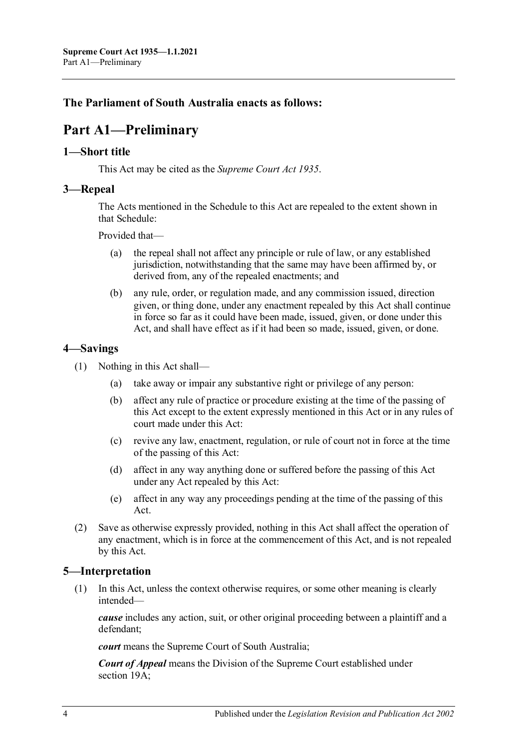# <span id="page-3-0"></span>**The Parliament of South Australia enacts as follows:**

# **Part A1—Preliminary**

## <span id="page-3-1"></span>**1—Short title**

This Act may be cited as the *Supreme Court Act 1935*.

## <span id="page-3-2"></span>**3—Repeal**

The Acts mentioned in the [Schedule](#page-38-0) to this Act are repealed to the extent shown in tha[t Schedule:](#page-38-0)

Provided that—

- (a) the repeal shall not affect any principle or rule of law, or any established jurisdiction, notwithstanding that the same may have been affirmed by, or derived from, any of the repealed enactments; and
- (b) any rule, order, or regulation made, and any commission issued, direction given, or thing done, under any enactment repealed by this Act shall continue in force so far as it could have been made, issued, given, or done under this Act, and shall have effect as if it had been so made, issued, given, or done.

## <span id="page-3-3"></span>**4—Savings**

- (1) Nothing in this Act shall—
	- (a) take away or impair any substantive right or privilege of any person:
	- (b) affect any rule of practice or procedure existing at the time of the passing of this Act except to the extent expressly mentioned in this Act or in any rules of court made under this Act:
	- (c) revive any law, enactment, regulation, or rule of court not in force at the time of the passing of this Act:
	- (d) affect in any way anything done or suffered before the passing of this Act under any Act repealed by this Act:
	- (e) affect in any way any proceedings pending at the time of the passing of this Act.
- (2) Save as otherwise expressly provided, nothing in this Act shall affect the operation of any enactment, which is in force at the commencement of this Act, and is not repealed by this Act.

# <span id="page-3-4"></span>**5—Interpretation**

(1) In this Act, unless the context otherwise requires, or some other meaning is clearly intended—

*cause* includes any action, suit, or other original proceeding between a plaintiff and a defendant;

*court* means the Supreme Court of South Australia;

*Court of Appeal* means the Division of the Supreme Court established under [section](#page-13-3) 19A;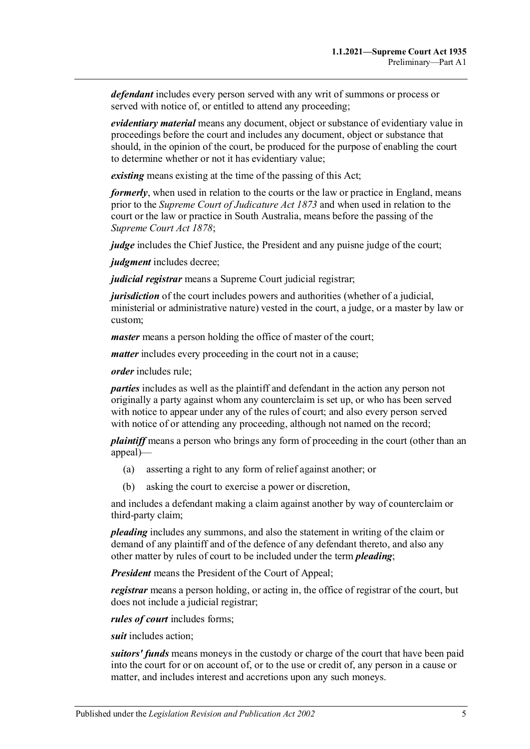*defendant* includes every person served with any writ of summons or process or served with notice of, or entitled to attend any proceeding;

*evidentiary material* means any document, object or substance of evidentiary value in proceedings before the court and includes any document, object or substance that should, in the opinion of the court, be produced for the purpose of enabling the court to determine whether or not it has evidentiary value;

*existing* means existing at the time of the passing of this Act;

*formerly*, when used in relation to the courts or the law or practice in England, means prior to the *[Supreme Court of Judicature Act](http://www.legislation.sa.gov.au/index.aspx?action=legref&type=act&legtitle=Supreme%20Court%20of%20Judicature%20Act%201873) 1873* and when used in relation to the court or the law or practice in South Australia, means before the passing of the *[Supreme Court Act](http://www.legislation.sa.gov.au/index.aspx?action=legref&type=act&legtitle=Supreme%20Court%20Act%201878) 1878*;

*judge* includes the Chief Justice, the President and any puisne judge of the court;

*judgment* includes decree;

*judicial registrar* means a Supreme Court judicial registrar;

*jurisdiction* of the court includes powers and authorities (whether of a judicial, ministerial or administrative nature) vested in the court, a judge, or a master by law or custom;

*master* means a person holding the office of master of the court;

*matter* includes every proceeding in the court not in a cause;

*order* includes rule;

*parties* includes as well as the plaintiff and defendant in the action any person not originally a party against whom any counterclaim is set up, or who has been served with notice to appear under any of the rules of court; and also every person served with notice of or attending any proceeding, although not named on the record;

*plaintiff* means a person who brings any form of proceeding in the court (other than an appeal)—

- (a) asserting a right to any form of relief against another; or
- (b) asking the court to exercise a power or discretion,

and includes a defendant making a claim against another by way of counterclaim or third-party claim;

*pleading* includes any summons, and also the statement in writing of the claim or demand of any plaintiff and of the defence of any defendant thereto, and also any other matter by rules of court to be included under the term *pleading*;

*President* means the President of the Court of Appeal;

*registrar* means a person holding, or acting in, the office of registrar of the court, but does not include a judicial registrar;

*rules of court* includes forms;

*suit* includes action;

*suitors' funds* means moneys in the custody or charge of the court that have been paid into the court for or on account of, or to the use or credit of, any person in a cause or matter, and includes interest and accretions upon any such moneys.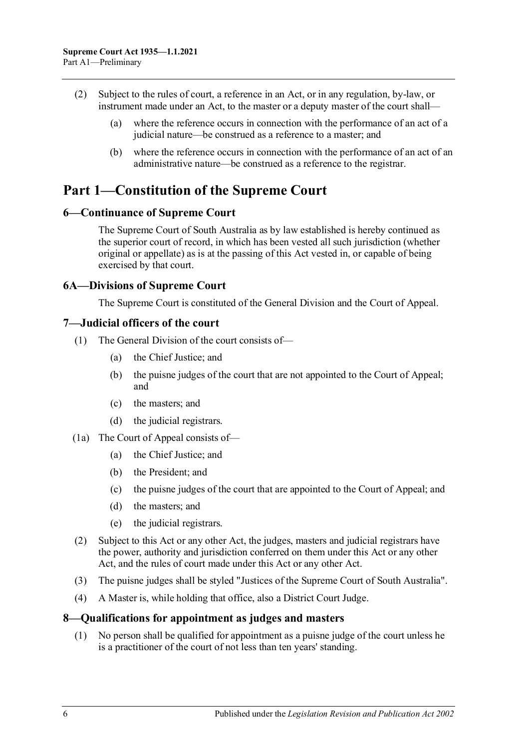- (2) Subject to the rules of court, a reference in an Act, or in any regulation, by-law, or instrument made under an Act, to the master or a deputy master of the court shall—
	- (a) where the reference occurs in connection with the performance of an act of a judicial nature—be construed as a reference to a master; and
	- (b) where the reference occurs in connection with the performance of an act of an administrative nature—be construed as a reference to the registrar.

# <span id="page-5-0"></span>**Part 1—Constitution of the Supreme Court**

## <span id="page-5-1"></span>**6—Continuance of Supreme Court**

The Supreme Court of South Australia as by law established is hereby continued as the superior court of record, in which has been vested all such jurisdiction (whether original or appellate) as is at the passing of this Act vested in, or capable of being exercised by that court.

#### <span id="page-5-2"></span>**6A—Divisions of Supreme Court**

The Supreme Court is constituted of the General Division and the Court of Appeal.

#### <span id="page-5-3"></span>**7—Judicial officers of the court**

- (1) The General Division of the court consists of—
	- (a) the Chief Justice; and
	- (b) the puisne judges of the court that are not appointed to the Court of Appeal; and
	- (c) the masters; and
	- (d) the judicial registrars.
- (1a) The Court of Appeal consists of—
	- (a) the Chief Justice; and
	- (b) the President; and
	- (c) the puisne judges of the court that are appointed to the Court of Appeal; and
	- (d) the masters; and
	- (e) the judicial registrars.
- (2) Subject to this Act or any other Act, the judges, masters and judicial registrars have the power, authority and jurisdiction conferred on them under this Act or any other Act, and the rules of court made under this Act or any other Act.
- (3) The puisne judges shall be styled "Justices of the Supreme Court of South Australia".
- (4) A Master is, while holding that office, also a District Court Judge.

#### <span id="page-5-4"></span>**8—Qualifications for appointment as judges and masters**

(1) No person shall be qualified for appointment as a puisne judge of the court unless he is a practitioner of the court of not less than ten years' standing.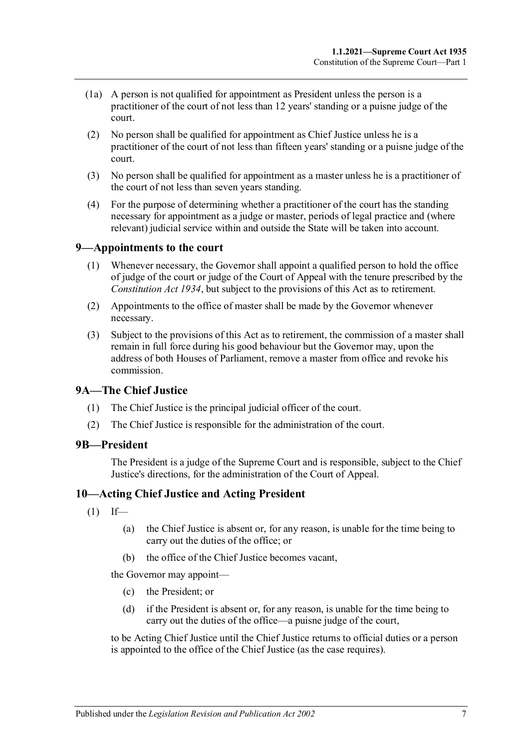- (1a) A person is not qualified for appointment as President unless the person is a practitioner of the court of not less than 12 years' standing or a puisne judge of the court.
- (2) No person shall be qualified for appointment as Chief Justice unless he is a practitioner of the court of not less than fifteen years' standing or a puisne judge of the court.
- (3) No person shall be qualified for appointment as a master unless he is a practitioner of the court of not less than seven years standing.
- (4) For the purpose of determining whether a practitioner of the court has the standing necessary for appointment as a judge or master, periods of legal practice and (where relevant) judicial service within and outside the State will be taken into account.

## <span id="page-6-0"></span>**9—Appointments to the court**

- (1) Whenever necessary, the Governor shall appoint a qualified person to hold the office of judge of the court or judge of the Court of Appeal with the tenure prescribed by the *[Constitution Act](http://www.legislation.sa.gov.au/index.aspx?action=legref&type=act&legtitle=Constitution%20Act%201934) 1934*, but subject to the provisions of this Act as to retirement.
- (2) Appointments to the office of master shall be made by the Governor whenever necessary.
- (3) Subject to the provisions of this Act as to retirement, the commission of a master shall remain in full force during his good behaviour but the Governor may, upon the address of both Houses of Parliament, remove a master from office and revoke his commission.

#### <span id="page-6-1"></span>**9A—The Chief Justice**

- (1) The Chief Justice is the principal judicial officer of the court.
- (2) The Chief Justice is responsible for the administration of the court.

#### <span id="page-6-2"></span>**9B—President**

The President is a judge of the Supreme Court and is responsible, subject to the Chief Justice's directions, for the administration of the Court of Appeal.

#### <span id="page-6-3"></span>**10—Acting Chief Justice and Acting President**

- $(1)$  If—
	- (a) the Chief Justice is absent or, for any reason, is unable for the time being to carry out the duties of the office; or
	- (b) the office of the Chief Justice becomes vacant,

the Governor may appoint—

- (c) the President; or
- (d) if the President is absent or, for any reason, is unable for the time being to carry out the duties of the office—a puisne judge of the court,

to be Acting Chief Justice until the Chief Justice returns to official duties or a person is appointed to the office of the Chief Justice (as the case requires).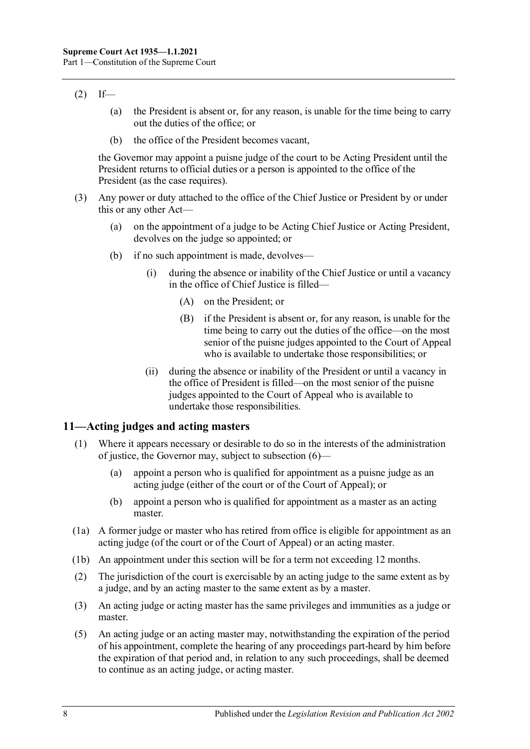## $(2)$  If—

- (a) the President is absent or, for any reason, is unable for the time being to carry out the duties of the office; or
- (b) the office of the President becomes vacant,

the Governor may appoint a puisne judge of the court to be Acting President until the President returns to official duties or a person is appointed to the office of the President (as the case requires).

- (3) Any power or duty attached to the office of the Chief Justice or President by or under this or any other Act—
	- (a) on the appointment of a judge to be Acting Chief Justice or Acting President, devolves on the judge so appointed; or
	- (b) if no such appointment is made, devolves—
		- (i) during the absence or inability of the Chief Justice or until a vacancy in the office of Chief Justice is filled—
			- (A) on the President; or
			- (B) if the President is absent or, for any reason, is unable for the time being to carry out the duties of the office—on the most senior of the puisne judges appointed to the Court of Appeal who is available to undertake those responsibilities; or
		- (ii) during the absence or inability of the President or until a vacancy in the office of President is filled—on the most senior of the puisne judges appointed to the Court of Appeal who is available to undertake those responsibilities.

## <span id="page-7-1"></span><span id="page-7-0"></span>**11—Acting judges and acting masters**

- (1) Where it appears necessary or desirable to do so in the interests of the administration of justice, the Governor may, subject to subsection (6)—
	- (a) appoint a person who is qualified for appointment as a puisne judge as an acting judge (either of the court or of the Court of Appeal); or
	- (b) appoint a person who is qualified for appointment as a master as an acting master.
- (1a) A former judge or master who has retired from office is eligible for appointment as an acting judge (of the court or of the Court of Appeal) or an acting master.
- (1b) An appointment under this section will be for a term not exceeding 12 months.
- (2) The jurisdiction of the court is exercisable by an acting judge to the same extent as by a judge, and by an acting master to the same extent as by a master.
- (3) An acting judge or acting master has the same privileges and immunities as a judge or master.
- (5) An acting judge or an acting master may, notwithstanding the expiration of the period of his appointment, complete the hearing of any proceedings part-heard by him before the expiration of that period and, in relation to any such proceedings, shall be deemed to continue as an acting judge, or acting master.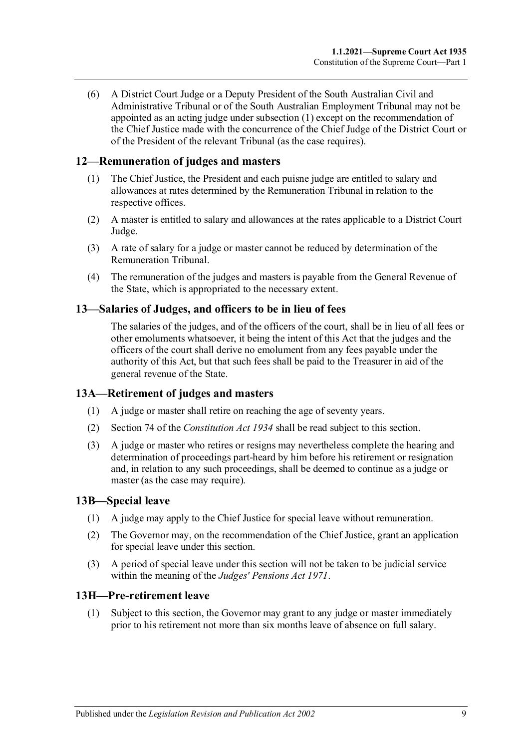(6) A District Court Judge or a Deputy President of the South Australian Civil and Administrative Tribunal or of the South Australian Employment Tribunal may not be appointed as an acting judge unde[r subsection](#page-7-1) (1) except on the recommendation of the Chief Justice made with the concurrence of the Chief Judge of the District Court or of the President of the relevant Tribunal (as the case requires).

## <span id="page-8-0"></span>**12—Remuneration of judges and masters**

- (1) The Chief Justice, the President and each puisne judge are entitled to salary and allowances at rates determined by the Remuneration Tribunal in relation to the respective offices.
- (2) A master is entitled to salary and allowances at the rates applicable to a District Court Judge.
- (3) A rate of salary for a judge or master cannot be reduced by determination of the Remuneration Tribunal.
- (4) The remuneration of the judges and masters is payable from the General Revenue of the State, which is appropriated to the necessary extent.

#### <span id="page-8-1"></span>**13—Salaries of Judges, and officers to be in lieu of fees**

The salaries of the judges, and of the officers of the court, shall be in lieu of all fees or other emoluments whatsoever, it being the intent of this Act that the judges and the officers of the court shall derive no emolument from any fees payable under the authority of this Act, but that such fees shall be paid to the Treasurer in aid of the general revenue of the State.

## <span id="page-8-2"></span>**13A—Retirement of judges and masters**

- (1) A judge or master shall retire on reaching the age of seventy years.
- (2) Section 74 of the *[Constitution Act](http://www.legislation.sa.gov.au/index.aspx?action=legref&type=act&legtitle=Constitution%20Act%201934) 1934* shall be read subject to this section.
- (3) A judge or master who retires or resigns may nevertheless complete the hearing and determination of proceedings part-heard by him before his retirement or resignation and, in relation to any such proceedings, shall be deemed to continue as a judge or master (as the case may require).

#### <span id="page-8-3"></span>**13B—Special leave**

- (1) A judge may apply to the Chief Justice for special leave without remuneration.
- (2) The Governor may, on the recommendation of the Chief Justice, grant an application for special leave under this section.
- (3) A period of special leave under this section will not be taken to be judicial service within the meaning of the *[Judges' Pensions Act](http://www.legislation.sa.gov.au/index.aspx?action=legref&type=act&legtitle=Judges%20Pensions%20Act%201971) 1971*.

#### <span id="page-8-5"></span><span id="page-8-4"></span>**13H—Pre-retirement leave**

(1) Subject to this section, the Governor may grant to any judge or master immediately prior to his retirement not more than six months leave of absence on full salary.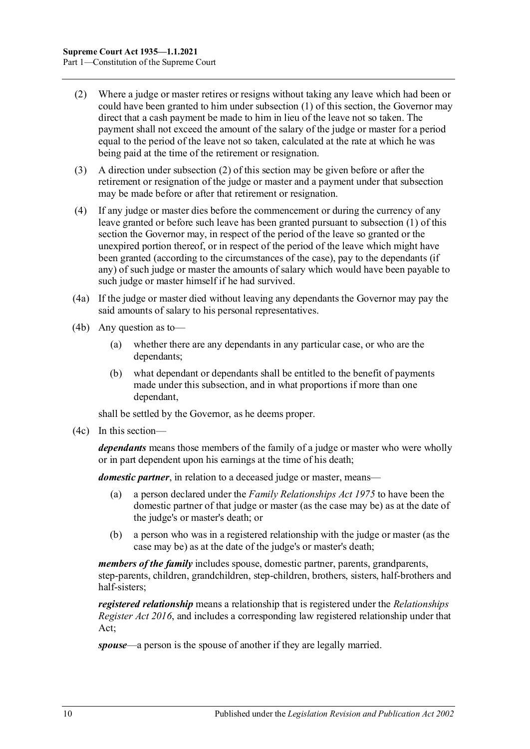- <span id="page-9-0"></span>(2) Where a judge or master retires or resigns without taking any leave which had been or could have been granted to him under [subsection](#page-8-5) (1) of this section, the Governor may direct that a cash payment be made to him in lieu of the leave not so taken. The payment shall not exceed the amount of the salary of the judge or master for a period equal to the period of the leave not so taken, calculated at the rate at which he was being paid at the time of the retirement or resignation.
- (3) A direction unde[r subsection](#page-9-0) (2) of this section may be given before or after the retirement or resignation of the judge or master and a payment under that subsection may be made before or after that retirement or resignation.
- (4) If any judge or master dies before the commencement or during the currency of any leave granted or before such leave has been granted pursuant to [subsection](#page-8-5) (1) of this section the Governor may, in respect of the period of the leave so granted or the unexpired portion thereof, or in respect of the period of the leave which might have been granted (according to the circumstances of the case), pay to the dependants (if any) of such judge or master the amounts of salary which would have been payable to such judge or master himself if he had survived.
- (4a) If the judge or master died without leaving any dependants the Governor may pay the said amounts of salary to his personal representatives.
- (4b) Any question as to—
	- (a) whether there are any dependants in any particular case, or who are the dependants;
	- (b) what dependant or dependants shall be entitled to the benefit of payments made under this subsection, and in what proportions if more than one dependant,

shall be settled by the Governor, as he deems proper.

(4c) In this section—

*dependants* means those members of the family of a judge or master who were wholly or in part dependent upon his earnings at the time of his death;

*domestic partner*, in relation to a deceased judge or master, means—

- (a) a person declared under the *[Family Relationships Act](http://www.legislation.sa.gov.au/index.aspx?action=legref&type=act&legtitle=Family%20Relationships%20Act%201975) 1975* to have been the domestic partner of that judge or master (as the case may be) as at the date of the judge's or master's death; or
- (b) a person who was in a registered relationship with the judge or master (as the case may be) as at the date of the judge's or master's death;

*members of the family* includes spouse, domestic partner, parents, grandparents, step-parents, children, grandchildren, step-children, brothers, sisters, half-brothers and half-sisters;

*registered relationship* means a relationship that is registered under the *[Relationships](http://www.legislation.sa.gov.au/index.aspx?action=legref&type=act&legtitle=Relationships%20Register%20Act%202016)  [Register Act](http://www.legislation.sa.gov.au/index.aspx?action=legref&type=act&legtitle=Relationships%20Register%20Act%202016) 2016*, and includes a corresponding law registered relationship under that Act;

*spouse*—a person is the spouse of another if they are legally married.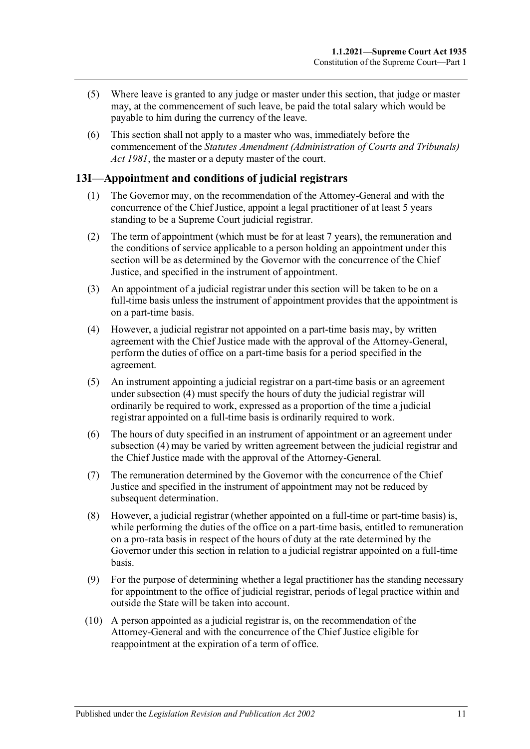- (5) Where leave is granted to any judge or master under this section, that judge or master may, at the commencement of such leave, be paid the total salary which would be payable to him during the currency of the leave.
- (6) This section shall not apply to a master who was, immediately before the commencement of the *[Statutes Amendment \(Administration of Courts and Tribunals\)](http://www.legislation.sa.gov.au/index.aspx?action=legref&type=act&legtitle=Statutes%20Amendment%20(Administration%20of%20Courts%20and%20Tribunals)%20Act%201981)  Act [1981](http://www.legislation.sa.gov.au/index.aspx?action=legref&type=act&legtitle=Statutes%20Amendment%20(Administration%20of%20Courts%20and%20Tribunals)%20Act%201981)*, the master or a deputy master of the court.

# <span id="page-10-0"></span>**13I—Appointment and conditions of judicial registrars**

- (1) The Governor may, on the recommendation of the Attorney-General and with the concurrence of the Chief Justice, appoint a legal practitioner of at least 5 years standing to be a Supreme Court judicial registrar.
- (2) The term of appointment (which must be for at least 7 years), the remuneration and the conditions of service applicable to a person holding an appointment under this section will be as determined by the Governor with the concurrence of the Chief Justice, and specified in the instrument of appointment.
- (3) An appointment of a judicial registrar under this section will be taken to be on a full-time basis unless the instrument of appointment provides that the appointment is on a part-time basis.
- <span id="page-10-1"></span>(4) However, a judicial registrar not appointed on a part-time basis may, by written agreement with the Chief Justice made with the approval of the Attorney-General, perform the duties of office on a part-time basis for a period specified in the agreement.
- (5) An instrument appointing a judicial registrar on a part-time basis or an agreement under [subsection](#page-10-1) (4) must specify the hours of duty the judicial registrar will ordinarily be required to work, expressed as a proportion of the time a judicial registrar appointed on a full-time basis is ordinarily required to work.
- (6) The hours of duty specified in an instrument of appointment or an agreement under [subsection](#page-10-1) (4) may be varied by written agreement between the judicial registrar and the Chief Justice made with the approval of the Attorney-General.
- (7) The remuneration determined by the Governor with the concurrence of the Chief Justice and specified in the instrument of appointment may not be reduced by subsequent determination.
- (8) However, a judicial registrar (whether appointed on a full-time or part-time basis) is, while performing the duties of the office on a part-time basis, entitled to remuneration on a pro-rata basis in respect of the hours of duty at the rate determined by the Governor under this section in relation to a judicial registrar appointed on a full-time basis.
- (9) For the purpose of determining whether a legal practitioner has the standing necessary for appointment to the office of judicial registrar, periods of legal practice within and outside the State will be taken into account.
- (10) A person appointed as a judicial registrar is, on the recommendation of the Attorney-General and with the concurrence of the Chief Justice eligible for reappointment at the expiration of a term of office.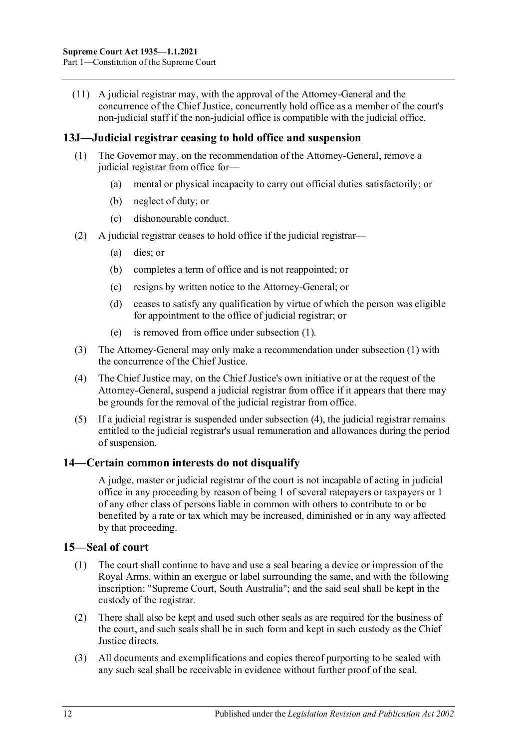(11) A judicial registrar may, with the approval of the Attorney-General and the concurrence of the Chief Justice, concurrently hold office as a member of the court's non-judicial staff if the non-judicial office is compatible with the judicial office.

## <span id="page-11-3"></span><span id="page-11-0"></span>**13J—Judicial registrar ceasing to hold office and suspension**

- (1) The Governor may, on the recommendation of the Attorney-General, remove a judicial registrar from office for—
	- (a) mental or physical incapacity to carry out official duties satisfactorily; or
	- (b) neglect of duty; or
	- (c) dishonourable conduct.
- (2) A judicial registrar ceases to hold office if the judicial registrar—
	- (a) dies; or
	- (b) completes a term of office and is not reappointed; or
	- (c) resigns by written notice to the Attorney-General; or
	- (d) ceases to satisfy any qualification by virtue of which the person was eligible for appointment to the office of judicial registrar; or
	- (e) is removed from office under [subsection](#page-11-3) (1).
- (3) The Attorney-General may only make a recommendation under [subsection](#page-11-3) (1) with the concurrence of the Chief Justice.
- <span id="page-11-4"></span>(4) The Chief Justice may, on the Chief Justice's own initiative or at the request of the Attorney-General, suspend a judicial registrar from office if it appears that there may be grounds for the removal of the judicial registrar from office.
- (5) If a judicial registrar is suspended under [subsection](#page-11-4) (4), the judicial registrar remains entitled to the judicial registrar's usual remuneration and allowances during the period of suspension.

# <span id="page-11-1"></span>**14—Certain common interests do not disqualify**

A judge, master or judicial registrar of the court is not incapable of acting in judicial office in any proceeding by reason of being 1 of several ratepayers or taxpayers or 1 of any other class of persons liable in common with others to contribute to or be benefited by a rate or tax which may be increased, diminished or in any way affected by that proceeding.

## <span id="page-11-2"></span>**15—Seal of court**

- (1) The court shall continue to have and use a seal bearing a device or impression of the Royal Arms, within an exergue or label surrounding the same, and with the following inscription: "Supreme Court, South Australia"; and the said seal shall be kept in the custody of the registrar.
- (2) There shall also be kept and used such other seals as are required for the business of the court, and such seals shall be in such form and kept in such custody as the Chief Justice directs.
- (3) All documents and exemplifications and copies thereof purporting to be sealed with any such seal shall be receivable in evidence without further proof of the seal.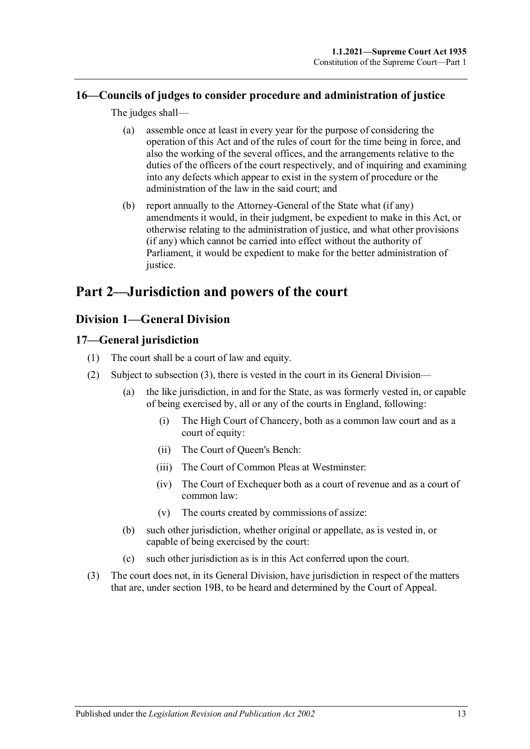# <span id="page-12-0"></span>**16—Councils of judges to consider procedure and administration of justice**

The judges shall—

- (a) assemble once at least in every year for the purpose of considering the operation of this Act and of the rules of court for the time being in force, and also the working of the several offices, and the arrangements relative to the duties of the officers of the court respectively, and of inquiring and examining into any defects which appear to exist in the system of procedure or the administration of the law in the said court; and
- (b) report annually to the Attorney-General of the State what (if any) amendments it would, in their judgment, be expedient to make in this Act, or otherwise relating to the administration of justice, and what other provisions (if any) which cannot be carried into effect without the authority of Parliament, it would be expedient to make for the better administration of justice.

# <span id="page-12-1"></span>**Part 2—Jurisdiction and powers of the court**

# <span id="page-12-2"></span>**Division 1—General Division**

# <span id="page-12-3"></span>**17—General jurisdiction**

- (1) The court shall be a court of law and equity.
- (2) Subject to [subsection](#page-12-4) (3), there is vested in the court in its General Division—
	- (a) the like jurisdiction, in and for the State, as was formerly vested in, or capable of being exercised by, all or any of the courts in England, following:
		- (i) The High Court of Chancery, both as a common law court and as a court of equity:
		- (ii) The Court of Queen's Bench:
		- (iii) The Court of Common Pleas at Westminster:
		- (iv) The Court of Exchequer both as a court of revenue and as a court of common law:
		- (v) The courts created by commissions of assize:
	- (b) such other jurisdiction, whether original or appellate, as is vested in, or capable of being exercised by the court:
	- (c) such other jurisdiction as is in this Act conferred upon the court.
- <span id="page-12-4"></span>(3) The court does not, in its General Division, have jurisdiction in respect of the matters that are, under [section](#page-13-4) 19B, to be heard and determined by the Court of Appeal.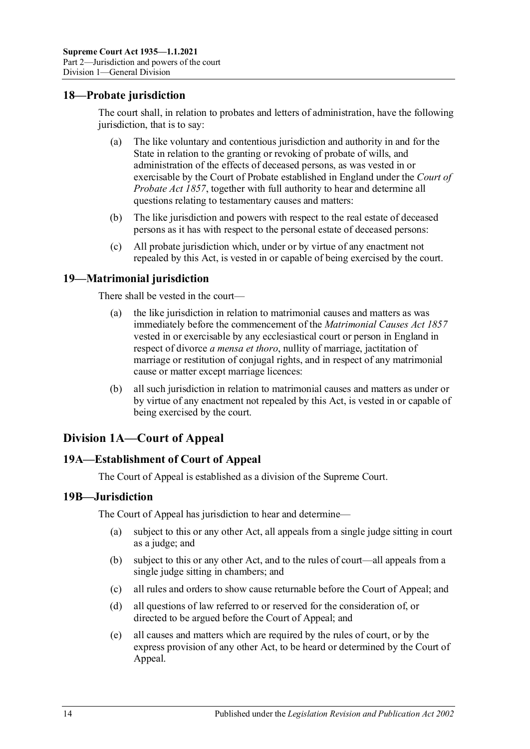## <span id="page-13-0"></span>**18—Probate jurisdiction**

The court shall, in relation to probates and letters of administration, have the following jurisdiction, that is to say:

- (a) The like voluntary and contentious jurisdiction and authority in and for the State in relation to the granting or revoking of probate of wills, and administration of the effects of deceased persons, as was vested in or exercisable by the Court of Probate established in England under the *Court of Probate Act 1857*, together with full authority to hear and determine all questions relating to testamentary causes and matters:
- (b) The like jurisdiction and powers with respect to the real estate of deceased persons as it has with respect to the personal estate of deceased persons:
- (c) All probate jurisdiction which, under or by virtue of any enactment not repealed by this Act, is vested in or capable of being exercised by the court.

## <span id="page-13-1"></span>**19—Matrimonial jurisdiction**

There shall be vested in the court—

- (a) the like jurisdiction in relation to matrimonial causes and matters as was immediately before the commencement of the *Matrimonial Causes Act 1857* vested in or exercisable by any ecclesiastical court or person in England in respect of divorce *a mensa et thoro*, nullity of marriage, jactitation of marriage or restitution of conjugal rights, and in respect of any matrimonial cause or matter except marriage licences:
- (b) all such jurisdiction in relation to matrimonial causes and matters as under or by virtue of any enactment not repealed by this Act, is vested in or capable of being exercised by the court.

# <span id="page-13-2"></span>**Division 1A—Court of Appeal**

## <span id="page-13-3"></span>**19A—Establishment of Court of Appeal**

The Court of Appeal is established as a division of the Supreme Court.

## <span id="page-13-4"></span>**19B—Jurisdiction**

The Court of Appeal has jurisdiction to hear and determine—

- (a) subject to this or any other Act, all appeals from a single judge sitting in court as a judge; and
- (b) subject to this or any other Act, and to the rules of court—all appeals from a single judge sitting in chambers; and
- (c) all rules and orders to show cause returnable before the Court of Appeal; and
- (d) all questions of law referred to or reserved for the consideration of, or directed to be argued before the Court of Appeal; and
- (e) all causes and matters which are required by the rules of court, or by the express provision of any other Act, to be heard or determined by the Court of Appeal.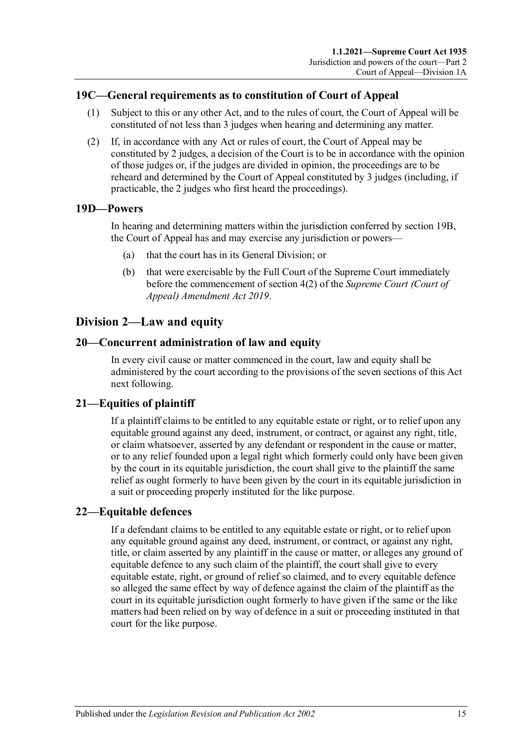## <span id="page-14-0"></span>**19C—General requirements as to constitution of Court of Appeal**

- (1) Subject to this or any other Act, and to the rules of court, the Court of Appeal will be constituted of not less than 3 judges when hearing and determining any matter.
- (2) If, in accordance with any Act or rules of court, the Court of Appeal may be constituted by 2 judges, a decision of the Court is to be in accordance with the opinion of those judges or, if the judges are divided in opinion, the proceedings are to be reheard and determined by the Court of Appeal constituted by 3 judges (including, if practicable, the 2 judges who first heard the proceedings).

## <span id="page-14-1"></span>**19D—Powers**

In hearing and determining matters within the jurisdiction conferred by [section](#page-13-4) 19B, the Court of Appeal has and may exercise any jurisdiction or powers—

- (a) that the court has in its General Division; or
- (b) that were exercisable by the Full Court of the Supreme Court immediately before the commencement of section 4(2) of the *[Supreme Court \(Court of](http://www.legislation.sa.gov.au/index.aspx?action=legref&type=act&legtitle=Supreme%20Court%20(Court%20of%20Appeal)%20Amendment%20Act%202019)  [Appeal\) Amendment Act](http://www.legislation.sa.gov.au/index.aspx?action=legref&type=act&legtitle=Supreme%20Court%20(Court%20of%20Appeal)%20Amendment%20Act%202019) 2019*.

# <span id="page-14-2"></span>**Division 2—Law and equity**

#### <span id="page-14-3"></span>**20—Concurrent administration of law and equity**

In every civil cause or matter commenced in the court, law and equity shall be administered by the court according to the provisions of the seven sections of this Act next following.

## <span id="page-14-4"></span>**21—Equities of plaintiff**

If a plaintiff claims to be entitled to any equitable estate or right, or to relief upon any equitable ground against any deed, instrument, or contract, or against any right, title, or claim whatsoever, asserted by any defendant or respondent in the cause or matter, or to any relief founded upon a legal right which formerly could only have been given by the court in its equitable jurisdiction, the court shall give to the plaintiff the same relief as ought formerly to have been given by the court in its equitable jurisdiction in a suit or proceeding properly instituted for the like purpose.

## <span id="page-14-5"></span>**22—Equitable defences**

If a defendant claims to be entitled to any equitable estate or right, or to relief upon any equitable ground against any deed, instrument, or contract, or against any right, title, or claim asserted by any plaintiff in the cause or matter, or alleges any ground of equitable defence to any such claim of the plaintiff, the court shall give to every equitable estate, right, or ground of relief so claimed, and to every equitable defence so alleged the same effect by way of defence against the claim of the plaintiff as the court in its equitable jurisdiction ought formerly to have given if the same or the like matters had been relied on by way of defence in a suit or proceeding instituted in that court for the like purpose.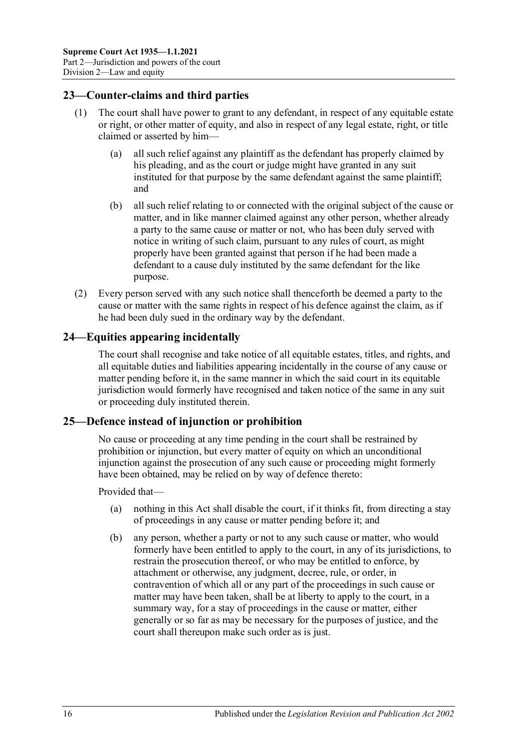## <span id="page-15-0"></span>**23—Counter-claims and third parties**

- (1) The court shall have power to grant to any defendant, in respect of any equitable estate or right, or other matter of equity, and also in respect of any legal estate, right, or title claimed or asserted by him—
	- (a) all such relief against any plaintiff as the defendant has properly claimed by his pleading, and as the court or judge might have granted in any suit instituted for that purpose by the same defendant against the same plaintiff; and
	- (b) all such relief relating to or connected with the original subject of the cause or matter, and in like manner claimed against any other person, whether already a party to the same cause or matter or not, who has been duly served with notice in writing of such claim, pursuant to any rules of court, as might properly have been granted against that person if he had been made a defendant to a cause duly instituted by the same defendant for the like purpose.
- (2) Every person served with any such notice shall thenceforth be deemed a party to the cause or matter with the same rights in respect of his defence against the claim, as if he had been duly sued in the ordinary way by the defendant.

## <span id="page-15-1"></span>**24—Equities appearing incidentally**

The court shall recognise and take notice of all equitable estates, titles, and rights, and all equitable duties and liabilities appearing incidentally in the course of any cause or matter pending before it, in the same manner in which the said court in its equitable jurisdiction would formerly have recognised and taken notice of the same in any suit or proceeding duly instituted therein.

## <span id="page-15-2"></span>**25—Defence instead of injunction or prohibition**

No cause or proceeding at any time pending in the court shall be restrained by prohibition or injunction, but every matter of equity on which an unconditional injunction against the prosecution of any such cause or proceeding might formerly have been obtained, may be relied on by way of defence thereto:

Provided that—

- (a) nothing in this Act shall disable the court, if it thinks fit, from directing a stay of proceedings in any cause or matter pending before it; and
- (b) any person, whether a party or not to any such cause or matter, who would formerly have been entitled to apply to the court, in any of its jurisdictions, to restrain the prosecution thereof, or who may be entitled to enforce, by attachment or otherwise, any judgment, decree, rule, or order, in contravention of which all or any part of the proceedings in such cause or matter may have been taken, shall be at liberty to apply to the court, in a summary way, for a stay of proceedings in the cause or matter, either generally or so far as may be necessary for the purposes of justice, and the court shall thereupon make such order as is just.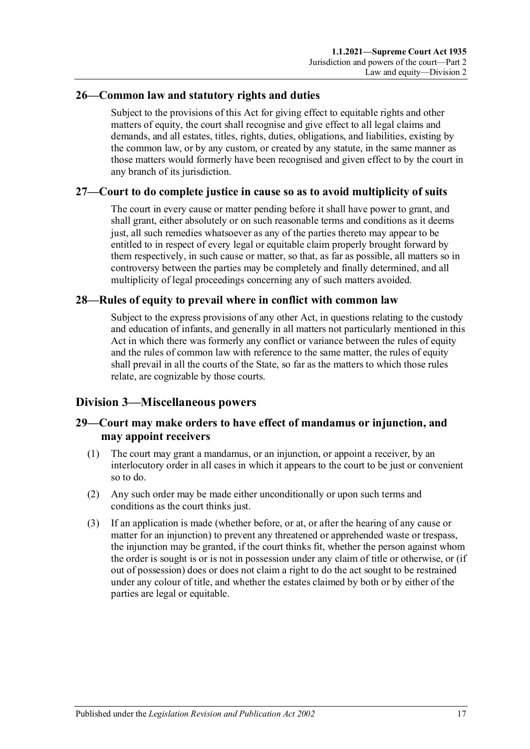## <span id="page-16-0"></span>**26—Common law and statutory rights and duties**

Subject to the provisions of this Act for giving effect to equitable rights and other matters of equity, the court shall recognise and give effect to all legal claims and demands, and all estates, titles, rights, duties, obligations, and liabilities, existing by the common law, or by any custom, or created by any statute, in the same manner as those matters would formerly have been recognised and given effect to by the court in any branch of its jurisdiction.

## <span id="page-16-1"></span>**27—Court to do complete justice in cause so as to avoid multiplicity of suits**

The court in every cause or matter pending before it shall have power to grant, and shall grant, either absolutely or on such reasonable terms and conditions as it deems just, all such remedies whatsoever as any of the parties thereto may appear to be entitled to in respect of every legal or equitable claim properly brought forward by them respectively, in such cause or matter, so that, as far as possible, all matters so in controversy between the parties may be completely and finally determined, and all multiplicity of legal proceedings concerning any of such matters avoided.

## <span id="page-16-2"></span>**28—Rules of equity to prevail where in conflict with common law**

Subject to the express provisions of any other Act, in questions relating to the custody and education of infants, and generally in all matters not particularly mentioned in this Act in which there was formerly any conflict or variance between the rules of equity and the rules of common law with reference to the same matter, the rules of equity shall prevail in all the courts of the State, so far as the matters to which those rules relate, are cognizable by those courts.

# <span id="page-16-3"></span>**Division 3—Miscellaneous powers**

## <span id="page-16-4"></span>**29—Court may make orders to have effect of mandamus or injunction, and may appoint receivers**

- (1) The court may grant a mandamus, or an injunction, or appoint a receiver, by an interlocutory order in all cases in which it appears to the court to be just or convenient so to do.
- (2) Any such order may be made either unconditionally or upon such terms and conditions as the court thinks just.
- (3) If an application is made (whether before, or at, or after the hearing of any cause or matter for an injunction) to prevent any threatened or apprehended waste or trespass, the injunction may be granted, if the court thinks fit, whether the person against whom the order is sought is or is not in possession under any claim of title or otherwise, or (if out of possession) does or does not claim a right to do the act sought to be restrained under any colour of title, and whether the estates claimed by both or by either of the parties are legal or equitable.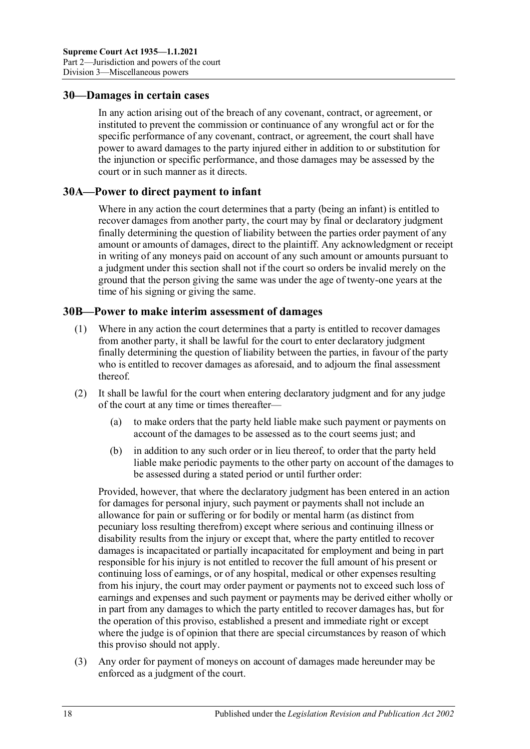#### <span id="page-17-0"></span>**30—Damages in certain cases**

In any action arising out of the breach of any covenant, contract, or agreement, or instituted to prevent the commission or continuance of any wrongful act or for the specific performance of any covenant, contract, or agreement, the court shall have power to award damages to the party injured either in addition to or substitution for the injunction or specific performance, and those damages may be assessed by the court or in such manner as it directs.

#### <span id="page-17-1"></span>**30A—Power to direct payment to infant**

Where in any action the court determines that a party (being an infant) is entitled to recover damages from another party, the court may by final or declaratory judgment finally determining the question of liability between the parties order payment of any amount or amounts of damages, direct to the plaintiff. Any acknowledgment or receipt in writing of any moneys paid on account of any such amount or amounts pursuant to a judgment under this section shall not if the court so orders be invalid merely on the ground that the person giving the same was under the age of twenty-one years at the time of his signing or giving the same.

#### <span id="page-17-2"></span>**30B—Power to make interim assessment of damages**

- (1) Where in any action the court determines that a party is entitled to recover damages from another party, it shall be lawful for the court to enter declaratory judgment finally determining the question of liability between the parties, in favour of the party who is entitled to recover damages as aforesaid, and to adjourn the final assessment thereof.
- <span id="page-17-3"></span>(2) It shall be lawful for the court when entering declaratory judgment and for any judge of the court at any time or times thereafter—
	- (a) to make orders that the party held liable make such payment or payments on account of the damages to be assessed as to the court seems just; and
	- (b) in addition to any such order or in lieu thereof, to order that the party held liable make periodic payments to the other party on account of the damages to be assessed during a stated period or until further order:

Provided, however, that where the declaratory judgment has been entered in an action for damages for personal injury, such payment or payments shall not include an allowance for pain or suffering or for bodily or mental harm (as distinct from pecuniary loss resulting therefrom) except where serious and continuing illness or disability results from the injury or except that, where the party entitled to recover damages is incapacitated or partially incapacitated for employment and being in part responsible for his injury is not entitled to recover the full amount of his present or continuing loss of earnings, or of any hospital, medical or other expenses resulting from his injury, the court may order payment or payments not to exceed such loss of earnings and expenses and such payment or payments may be derived either wholly or in part from any damages to which the party entitled to recover damages has, but for the operation of this proviso, established a present and immediate right or except where the judge is of opinion that there are special circumstances by reason of which this proviso should not apply.

(3) Any order for payment of moneys on account of damages made hereunder may be enforced as a judgment of the court.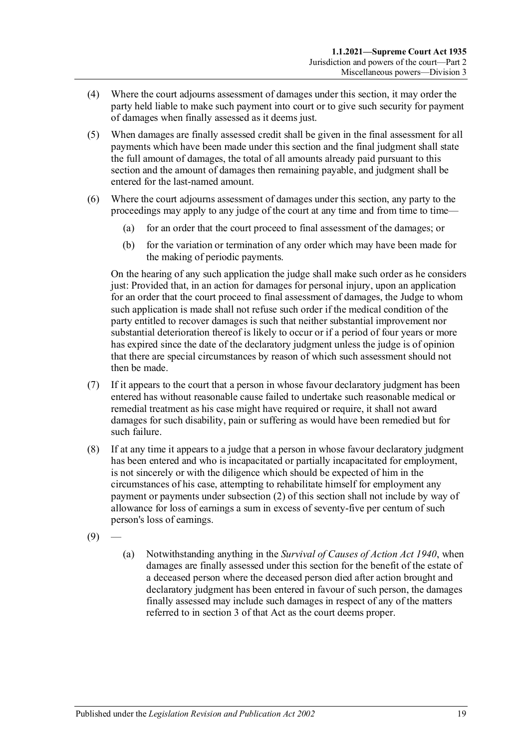- (4) Where the court adjourns assessment of damages under this section, it may order the party held liable to make such payment into court or to give such security for payment of damages when finally assessed as it deems just.
- (5) When damages are finally assessed credit shall be given in the final assessment for all payments which have been made under this section and the final judgment shall state the full amount of damages, the total of all amounts already paid pursuant to this section and the amount of damages then remaining payable, and judgment shall be entered for the last-named amount.
- (6) Where the court adjourns assessment of damages under this section, any party to the proceedings may apply to any judge of the court at any time and from time to time—
	- (a) for an order that the court proceed to final assessment of the damages; or
	- (b) for the variation or termination of any order which may have been made for the making of periodic payments.

On the hearing of any such application the judge shall make such order as he considers just: Provided that, in an action for damages for personal injury, upon an application for an order that the court proceed to final assessment of damages, the Judge to whom such application is made shall not refuse such order if the medical condition of the party entitled to recover damages is such that neither substantial improvement nor substantial deterioration thereof is likely to occur or if a period of four years or more has expired since the date of the declaratory judgment unless the judge is of opinion that there are special circumstances by reason of which such assessment should not then be made.

- (7) If it appears to the court that a person in whose favour declaratory judgment has been entered has without reasonable cause failed to undertake such reasonable medical or remedial treatment as his case might have required or require, it shall not award damages for such disability, pain or suffering as would have been remedied but for such failure.
- (8) If at any time it appears to a judge that a person in whose favour declaratory judgment has been entered and who is incapacitated or partially incapacitated for employment, is not sincerely or with the diligence which should be expected of him in the circumstances of his case, attempting to rehabilitate himself for employment any payment or payments unde[r subsection](#page-17-3) (2) of this section shall not include by way of allowance for loss of earnings a sum in excess of seventy-five per centum of such person's loss of earnings.
- <span id="page-18-0"></span> $(9)$
- (a) Notwithstanding anything in the *[Survival of Causes of Action Act](http://www.legislation.sa.gov.au/index.aspx?action=legref&type=act&legtitle=Survival%20of%20Causes%20of%20Action%20Act%201940) 1940*, when damages are finally assessed under this section for the benefit of the estate of a deceased person where the deceased person died after action brought and declaratory judgment has been entered in favour of such person, the damages finally assessed may include such damages in respect of any of the matters referred to in section 3 of that Act as the court deems proper.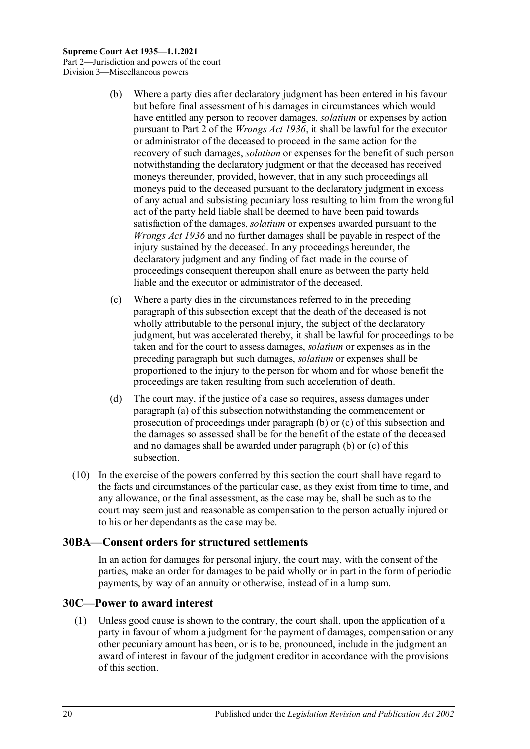- <span id="page-19-2"></span>(b) Where a party dies after declaratory judgment has been entered in his favour but before final assessment of his damages in circumstances which would have entitled any person to recover damages, *solatium* or expenses by action pursuant to Part 2 of the *[Wrongs Act](http://www.legislation.sa.gov.au/index.aspx?action=legref&type=act&legtitle=Wrongs%20Act%201936) 1936*, it shall be lawful for the executor or administrator of the deceased to proceed in the same action for the recovery of such damages, *solatium* or expenses for the benefit of such person notwithstanding the declaratory judgment or that the deceased has received moneys thereunder, provided, however, that in any such proceedings all moneys paid to the deceased pursuant to the declaratory judgment in excess of any actual and subsisting pecuniary loss resulting to him from the wrongful act of the party held liable shall be deemed to have been paid towards satisfaction of the damages, *solatium* or expenses awarded pursuant to the *[Wrongs Act](http://www.legislation.sa.gov.au/index.aspx?action=legref&type=act&legtitle=Wrongs%20Act%201936) 1936* and no further damages shall be payable in respect of the injury sustained by the deceased. In any proceedings hereunder, the declaratory judgment and any finding of fact made in the course of proceedings consequent thereupon shall enure as between the party held liable and the executor or administrator of the deceased.
- <span id="page-19-3"></span>(c) Where a party dies in the circumstances referred to in the preceding paragraph of this subsection except that the death of the deceased is not wholly attributable to the personal injury, the subject of the declaratory judgment, but was accelerated thereby, it shall be lawful for proceedings to be taken and for the court to assess damages, *solatium* or expenses as in the preceding paragraph but such damages, *solatium* or expenses shall be proportioned to the injury to the person for whom and for whose benefit the proceedings are taken resulting from such acceleration of death.
- (d) The court may, if the justice of a case so requires, assess damages under [paragraph](#page-18-0) (a) of this subsection notwithstanding the commencement or prosecution of proceedings under [paragraph](#page-19-2) (b) or [\(c\)](#page-19-3) of this subsection and the damages so assessed shall be for the benefit of the estate of the deceased and no damages shall be awarded under [paragraph](#page-19-2) (b) or [\(c\)](#page-19-3) of this subsection.
- (10) In the exercise of the powers conferred by this section the court shall have regard to the facts and circumstances of the particular case, as they exist from time to time, and any allowance, or the final assessment, as the case may be, shall be such as to the court may seem just and reasonable as compensation to the person actually injured or to his or her dependants as the case may be.

## <span id="page-19-0"></span>**30BA—Consent orders for structured settlements**

In an action for damages for personal injury, the court may, with the consent of the parties, make an order for damages to be paid wholly or in part in the form of periodic payments, by way of an annuity or otherwise, instead of in a lump sum.

## <span id="page-19-1"></span>**30C—Power to award interest**

(1) Unless good cause is shown to the contrary, the court shall, upon the application of a party in favour of whom a judgment for the payment of damages, compensation or any other pecuniary amount has been, or is to be, pronounced, include in the judgment an award of interest in favour of the judgment creditor in accordance with the provisions of this section.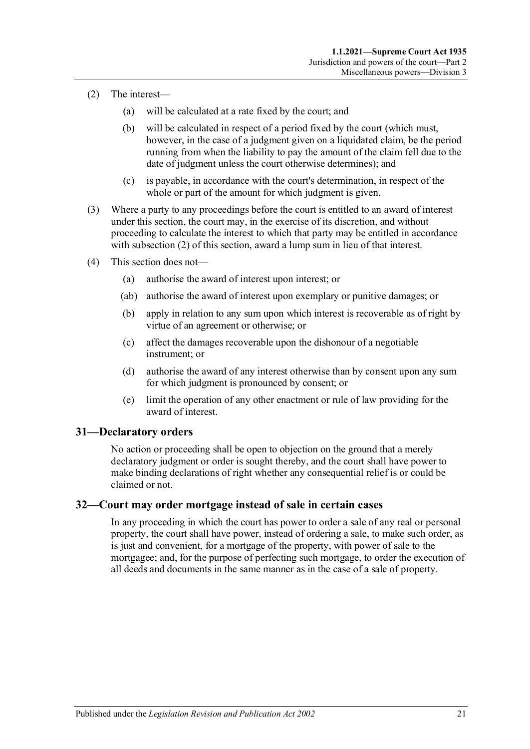- <span id="page-20-2"></span>(2) The interest—
	- (a) will be calculated at a rate fixed by the court; and
	- (b) will be calculated in respect of a period fixed by the court (which must, however, in the case of a judgment given on a liquidated claim, be the period running from when the liability to pay the amount of the claim fell due to the date of judgment unless the court otherwise determines); and
	- (c) is payable, in accordance with the court's determination, in respect of the whole or part of the amount for which judgment is given.
- (3) Where a party to any proceedings before the court is entitled to an award of interest under this section, the court may, in the exercise of its discretion, and without proceeding to calculate the interest to which that party may be entitled in accordance with [subsection](#page-20-2) (2) of this section, award a lump sum in lieu of that interest.
- (4) This section does not—
	- (a) authorise the award of interest upon interest; or
	- (ab) authorise the award of interest upon exemplary or punitive damages; or
	- (b) apply in relation to any sum upon which interest is recoverable as of right by virtue of an agreement or otherwise; or
	- (c) affect the damages recoverable upon the dishonour of a negotiable instrument; or
	- (d) authorise the award of any interest otherwise than by consent upon any sum for which judgment is pronounced by consent; or
	- (e) limit the operation of any other enactment or rule of law providing for the award of interest.

## <span id="page-20-0"></span>**31—Declaratory orders**

No action or proceeding shall be open to objection on the ground that a merely declaratory judgment or order is sought thereby, and the court shall have power to make binding declarations of right whether any consequential relief is or could be claimed or not.

#### <span id="page-20-1"></span>**32—Court may order mortgage instead of sale in certain cases**

In any proceeding in which the court has power to order a sale of any real or personal property, the court shall have power, instead of ordering a sale, to make such order, as is just and convenient, for a mortgage of the property, with power of sale to the mortgagee; and, for the purpose of perfecting such mortgage, to order the execution of all deeds and documents in the same manner as in the case of a sale of property.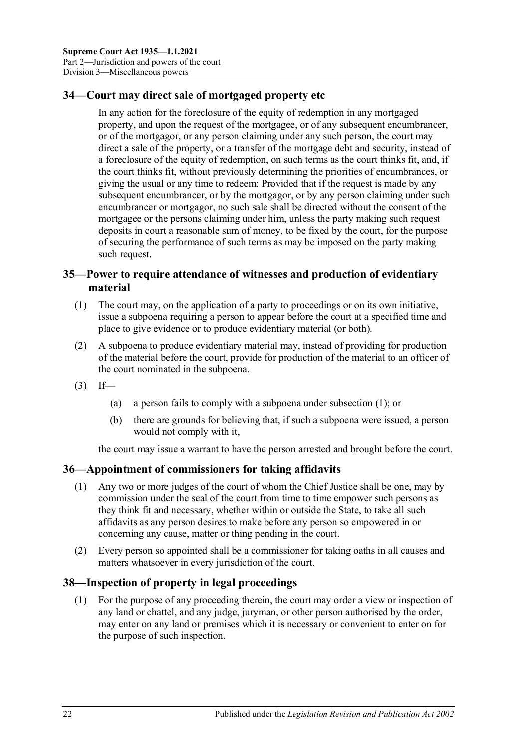# <span id="page-21-0"></span>**34—Court may direct sale of mortgaged property etc**

In any action for the foreclosure of the equity of redemption in any mortgaged property, and upon the request of the mortgagee, or of any subsequent encumbrancer, or of the mortgagor, or any person claiming under any such person, the court may direct a sale of the property, or a transfer of the mortgage debt and security, instead of a foreclosure of the equity of redemption, on such terms as the court thinks fit, and, if the court thinks fit, without previously determining the priorities of encumbrances, or giving the usual or any time to redeem: Provided that if the request is made by any subsequent encumbrancer, or by the mortgagor, or by any person claiming under such encumbrancer or mortgagor, no such sale shall be directed without the consent of the mortgagee or the persons claiming under him, unless the party making such request deposits in court a reasonable sum of money, to be fixed by the court, for the purpose of securing the performance of such terms as may be imposed on the party making such request.

## <span id="page-21-1"></span>**35—Power to require attendance of witnesses and production of evidentiary material**

- <span id="page-21-4"></span>(1) The court may, on the application of a party to proceedings or on its own initiative, issue a subpoena requiring a person to appear before the court at a specified time and place to give evidence or to produce evidentiary material (or both).
- (2) A subpoena to produce evidentiary material may, instead of providing for production of the material before the court, provide for production of the material to an officer of the court nominated in the subpoena.
- $(3)$  If—
	- (a) a person fails to comply with a subpoena under [subsection](#page-21-4) (1); or
	- (b) there are grounds for believing that, if such a subpoena were issued, a person would not comply with it,

the court may issue a warrant to have the person arrested and brought before the court.

## <span id="page-21-2"></span>**36—Appointment of commissioners for taking affidavits**

- (1) Any two or more judges of the court of whom the Chief Justice shall be one, may by commission under the seal of the court from time to time empower such persons as they think fit and necessary, whether within or outside the State, to take all such affidavits as any person desires to make before any person so empowered in or concerning any cause, matter or thing pending in the court.
- (2) Every person so appointed shall be a commissioner for taking oaths in all causes and matters whatsoever in every jurisdiction of the court.

## <span id="page-21-3"></span>**38—Inspection of property in legal proceedings**

(1) For the purpose of any proceeding therein, the court may order a view or inspection of any land or chattel, and any judge, juryman, or other person authorised by the order, may enter on any land or premises which it is necessary or convenient to enter on for the purpose of such inspection.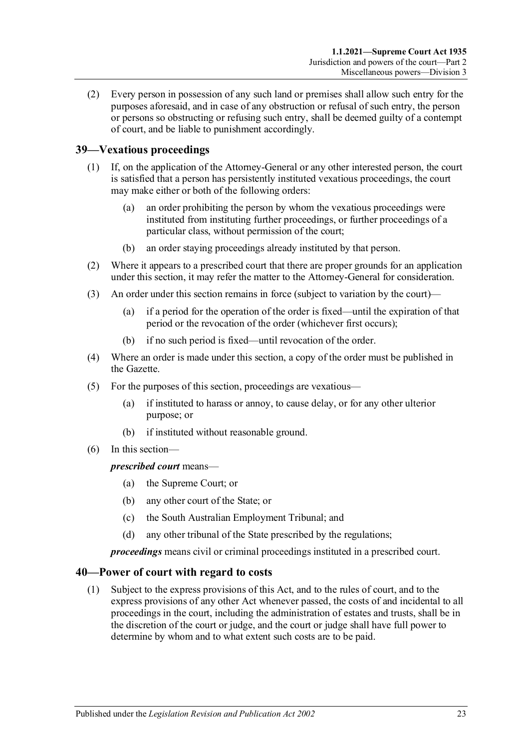(2) Every person in possession of any such land or premises shall allow such entry for the purposes aforesaid, and in case of any obstruction or refusal of such entry, the person or persons so obstructing or refusing such entry, shall be deemed guilty of a contempt of court, and be liable to punishment accordingly.

# <span id="page-22-0"></span>**39—Vexatious proceedings**

- (1) If, on the application of the Attorney-General or any other interested person, the court is satisfied that a person has persistently instituted vexatious proceedings, the court may make either or both of the following orders:
	- (a) an order prohibiting the person by whom the vexatious proceedings were instituted from instituting further proceedings, or further proceedings of a particular class, without permission of the court;
	- (b) an order staying proceedings already instituted by that person.
- (2) Where it appears to a prescribed court that there are proper grounds for an application under this section, it may refer the matter to the Attorney-General for consideration.
- (3) An order under this section remains in force (subject to variation by the court)—
	- (a) if a period for the operation of the order is fixed—until the expiration of that period or the revocation of the order (whichever first occurs);
	- (b) if no such period is fixed—until revocation of the order.
- (4) Where an order is made under this section, a copy of the order must be published in the Gazette.
- (5) For the purposes of this section, proceedings are vexatious—
	- (a) if instituted to harass or annoy, to cause delay, or for any other ulterior purpose; or
	- (b) if instituted without reasonable ground.
- (6) In this section—

*prescribed court* means—

- (a) the Supreme Court; or
- (b) any other court of the State; or
- (c) the South Australian Employment Tribunal; and
- (d) any other tribunal of the State prescribed by the regulations;

*proceedings* means civil or criminal proceedings instituted in a prescribed court.

## <span id="page-22-1"></span>**40—Power of court with regard to costs**

(1) Subject to the express provisions of this Act, and to the rules of court, and to the express provisions of any other Act whenever passed, the costs of and incidental to all proceedings in the court, including the administration of estates and trusts, shall be in the discretion of the court or judge, and the court or judge shall have full power to determine by whom and to what extent such costs are to be paid.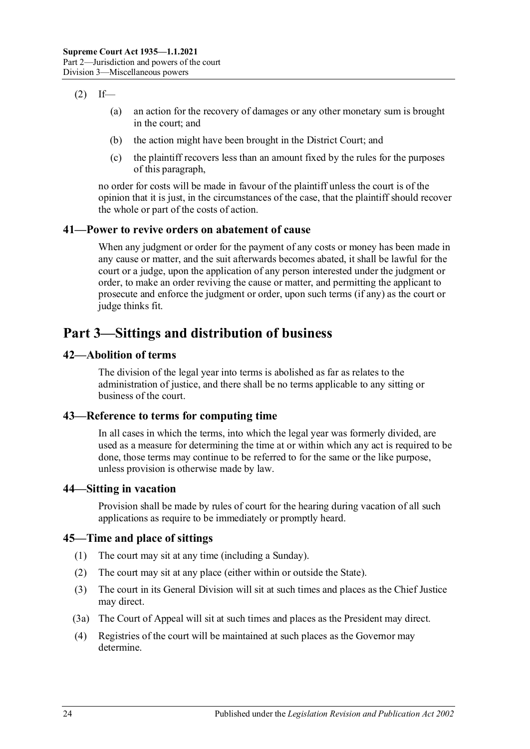## $(2)$  If—

- (a) an action for the recovery of damages or any other monetary sum is brought in the court; and
- (b) the action might have been brought in the District Court; and
- (c) the plaintiff recovers less than an amount fixed by the rules for the purposes of this paragraph,

no order for costs will be made in favour of the plaintiff unless the court is of the opinion that it is just, in the circumstances of the case, that the plaintiff should recover the whole or part of the costs of action.

## <span id="page-23-0"></span>**41—Power to revive orders on abatement of cause**

When any judgment or order for the payment of any costs or money has been made in any cause or matter, and the suit afterwards becomes abated, it shall be lawful for the court or a judge, upon the application of any person interested under the judgment or order, to make an order reviving the cause or matter, and permitting the applicant to prosecute and enforce the judgment or order, upon such terms (if any) as the court or judge thinks fit.

# <span id="page-23-1"></span>**Part 3—Sittings and distribution of business**

## <span id="page-23-2"></span>**42—Abolition of terms**

The division of the legal year into terms is abolished as far as relates to the administration of justice, and there shall be no terms applicable to any sitting or business of the court.

## <span id="page-23-3"></span>**43—Reference to terms for computing time**

In all cases in which the terms, into which the legal year was formerly divided, are used as a measure for determining the time at or within which any act is required to be done, those terms may continue to be referred to for the same or the like purpose, unless provision is otherwise made by law.

#### <span id="page-23-4"></span>**44—Sitting in vacation**

Provision shall be made by rules of court for the hearing during vacation of all such applications as require to be immediately or promptly heard.

## <span id="page-23-5"></span>**45—Time and place of sittings**

- (1) The court may sit at any time (including a Sunday).
- (2) The court may sit at any place (either within or outside the State).
- (3) The court in its General Division will sit at such times and places as the Chief Justice may direct.
- (3a) The Court of Appeal will sit at such times and places as the President may direct.
- (4) Registries of the court will be maintained at such places as the Governor may determine.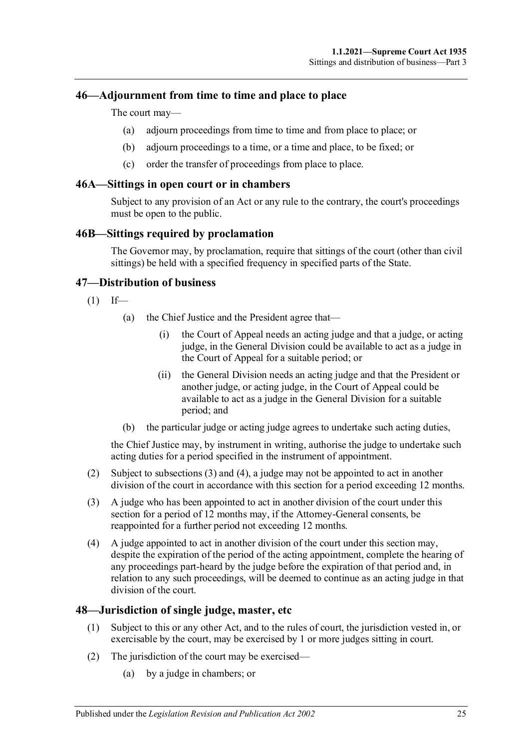## <span id="page-24-0"></span>**46—Adjournment from time to time and place to place**

The court may—

- (a) adjourn proceedings from time to time and from place to place; or
- (b) adjourn proceedings to a time, or a time and place, to be fixed; or
- (c) order the transfer of proceedings from place to place.

#### <span id="page-24-1"></span>**46A—Sittings in open court or in chambers**

Subject to any provision of an Act or any rule to the contrary, the court's proceedings must be open to the public.

#### <span id="page-24-2"></span>**46B—Sittings required by proclamation**

The Governor may, by proclamation, require that sittings of the court (other than civil sittings) be held with a specified frequency in specified parts of the State.

#### <span id="page-24-3"></span>**47—Distribution of business**

- $(1)$  If—
	- (a) the Chief Justice and the President agree that—
		- (i) the Court of Appeal needs an acting judge and that a judge, or acting judge, in the General Division could be available to act as a judge in the Court of Appeal for a suitable period; or
		- (ii) the General Division needs an acting judge and that the President or another judge, or acting judge, in the Court of Appeal could be available to act as a judge in the General Division for a suitable period; and
	- (b) the particular judge or acting judge agrees to undertake such acting duties,

the Chief Justice may, by instrument in writing, authorise the judge to undertake such acting duties for a period specified in the instrument of appointment.

- (2) Subject to [subsections](#page-24-5) (3) and [\(4\),](#page-24-6) a judge may not be appointed to act in another division of the court in accordance with this section for a period exceeding 12 months.
- <span id="page-24-5"></span>(3) A judge who has been appointed to act in another division of the court under this section for a period of 12 months may, if the Attorney-General consents, be reappointed for a further period not exceeding 12 months.
- <span id="page-24-6"></span>(4) A judge appointed to act in another division of the court under this section may, despite the expiration of the period of the acting appointment, complete the hearing of any proceedings part-heard by the judge before the expiration of that period and, in relation to any such proceedings, will be deemed to continue as an acting judge in that division of the court.

#### <span id="page-24-4"></span>**48—Jurisdiction of single judge, master, etc**

- (1) Subject to this or any other Act, and to the rules of court, the jurisdiction vested in, or exercisable by the court, may be exercised by 1 or more judges sitting in court.
- (2) The jurisdiction of the court may be exercised—
	- (a) by a judge in chambers; or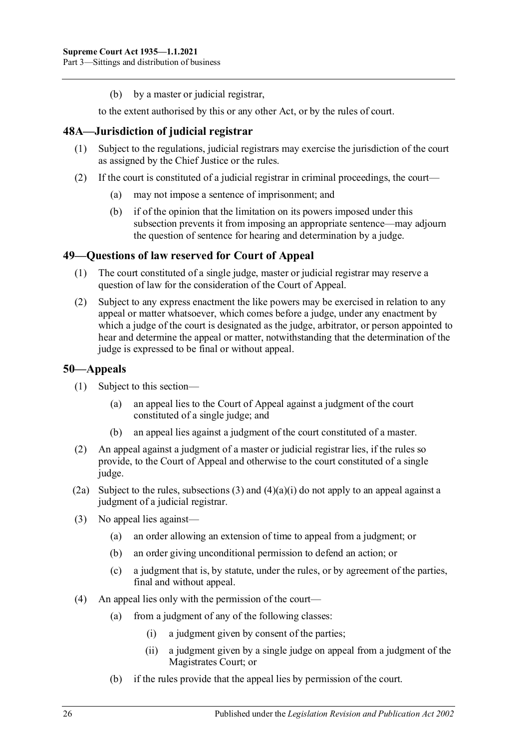(b) by a master or judicial registrar,

to the extent authorised by this or any other Act, or by the rules of court.

## <span id="page-25-0"></span>**48A—Jurisdiction of judicial registrar**

- (1) Subject to the regulations, judicial registrars may exercise the jurisdiction of the court as assigned by the Chief Justice or the rules.
- (2) If the court is constituted of a judicial registrar in criminal proceedings, the court—
	- (a) may not impose a sentence of imprisonment; and
	- (b) if of the opinion that the limitation on its powers imposed under this subsection prevents it from imposing an appropriate sentence—may adjourn the question of sentence for hearing and determination by a judge.

## <span id="page-25-1"></span>**49—Questions of law reserved for Court of Appeal**

- (1) The court constituted of a single judge, master or judicial registrar may reserve a question of law for the consideration of the Court of Appeal.
- (2) Subject to any express enactment the like powers may be exercised in relation to any appeal or matter whatsoever, which comes before a judge, under any enactment by which a judge of the court is designated as the judge, arbitrator, or person appointed to hear and determine the appeal or matter, notwithstanding that the determination of the judge is expressed to be final or without appeal.

## <span id="page-25-2"></span>**50—Appeals**

- (1) Subject to this section—
	- (a) an appeal lies to the Court of Appeal against a judgment of the court constituted of a single judge; and
	- (b) an appeal lies against a judgment of the court constituted of a master.
- (2) An appeal against a judgment of a master or judicial registrar lies, if the rules so provide, to the Court of Appeal and otherwise to the court constituted of a single judge.
- (2a) Subject to the rules, [subsections](#page-25-3) (3) and  $(4)(a)(i)$  do not apply to an appeal against a judgment of a judicial registrar.
- <span id="page-25-3"></span>(3) No appeal lies against—
	- (a) an order allowing an extension of time to appeal from a judgment; or
	- (b) an order giving unconditional permission to defend an action; or
	- (c) a judgment that is, by statute, under the rules, or by agreement of the parties, final and without appeal.
- <span id="page-25-4"></span>(4) An appeal lies only with the permission of the court—
	- (a) from a judgment of any of the following classes:
		- (i) a judgment given by consent of the parties;
		- (ii) a judgment given by a single judge on appeal from a judgment of the Magistrates Court; or
	- (b) if the rules provide that the appeal lies by permission of the court.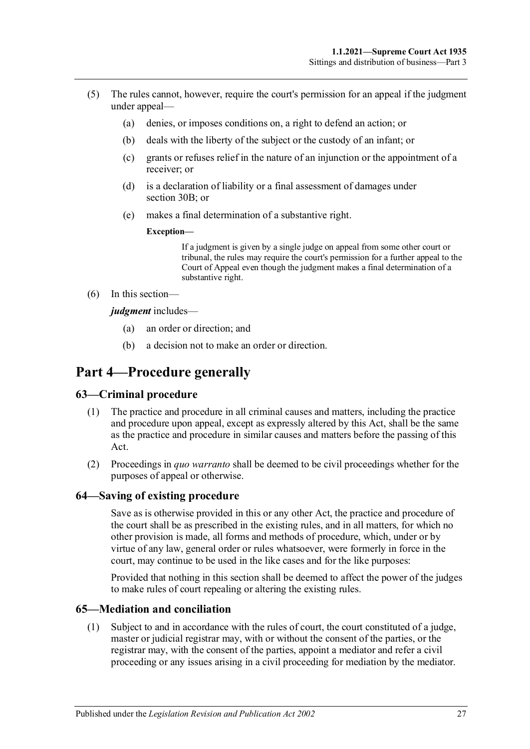- (5) The rules cannot, however, require the court's permission for an appeal if the judgment under appeal—
	- (a) denies, or imposes conditions on, a right to defend an action; or
	- (b) deals with the liberty of the subject or the custody of an infant; or
	- (c) grants or refuses relief in the nature of an injunction or the appointment of a receiver; or
	- (d) is a declaration of liability or a final assessment of damages under [section](#page-17-2) 30B; or
	- (e) makes a final determination of a substantive right.
		- **Exception—**

If a judgment is given by a single judge on appeal from some other court or tribunal, the rules may require the court's permission for a further appeal to the Court of Appeal even though the judgment makes a final determination of a substantive right.

(6) In this section—

*judgment* includes—

- (a) an order or direction; and
- (b) a decision not to make an order or direction.

# <span id="page-26-0"></span>**Part 4—Procedure generally**

## <span id="page-26-1"></span>**63—Criminal procedure**

- (1) The practice and procedure in all criminal causes and matters, including the practice and procedure upon appeal, except as expressly altered by this Act, shall be the same as the practice and procedure in similar causes and matters before the passing of this Act.
- (2) Proceedings in *quo warranto* shall be deemed to be civil proceedings whether for the purposes of appeal or otherwise.

#### <span id="page-26-2"></span>**64—Saving of existing procedure**

Save as is otherwise provided in this or any other Act, the practice and procedure of the court shall be as prescribed in the existing rules, and in all matters, for which no other provision is made, all forms and methods of procedure, which, under or by virtue of any law, general order or rules whatsoever, were formerly in force in the court, may continue to be used in the like cases and for the like purposes:

Provided that nothing in this section shall be deemed to affect the power of the judges to make rules of court repealing or altering the existing rules.

#### <span id="page-26-3"></span>**65—Mediation and conciliation**

(1) Subject to and in accordance with the rules of court, the court constituted of a judge, master or judicial registrar may, with or without the consent of the parties, or the registrar may, with the consent of the parties, appoint a mediator and refer a civil proceeding or any issues arising in a civil proceeding for mediation by the mediator.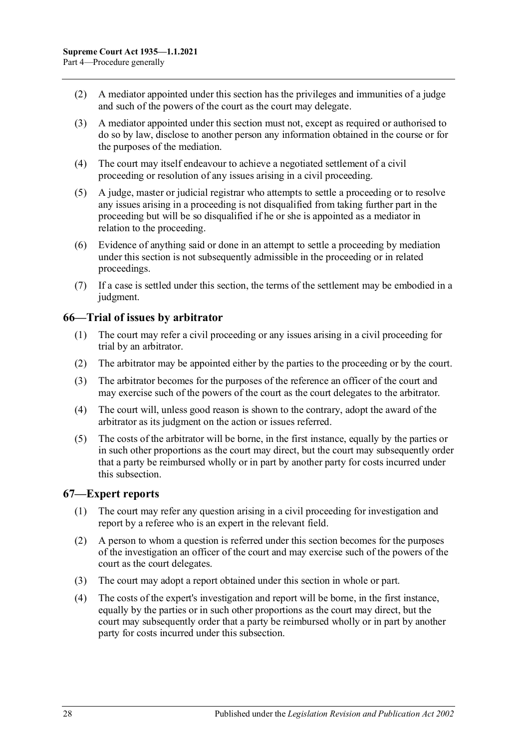- (2) A mediator appointed under this section has the privileges and immunities of a judge and such of the powers of the court as the court may delegate.
- (3) A mediator appointed under this section must not, except as required or authorised to do so by law, disclose to another person any information obtained in the course or for the purposes of the mediation.
- (4) The court may itself endeavour to achieve a negotiated settlement of a civil proceeding or resolution of any issues arising in a civil proceeding.
- (5) A judge, master or judicial registrar who attempts to settle a proceeding or to resolve any issues arising in a proceeding is not disqualified from taking further part in the proceeding but will be so disqualified if he or she is appointed as a mediator in relation to the proceeding.
- (6) Evidence of anything said or done in an attempt to settle a proceeding by mediation under this section is not subsequently admissible in the proceeding or in related proceedings.
- (7) If a case is settled under this section, the terms of the settlement may be embodied in a judgment.

## <span id="page-27-0"></span>**66—Trial of issues by arbitrator**

- (1) The court may refer a civil proceeding or any issues arising in a civil proceeding for trial by an arbitrator.
- (2) The arbitrator may be appointed either by the parties to the proceeding or by the court.
- (3) The arbitrator becomes for the purposes of the reference an officer of the court and may exercise such of the powers of the court as the court delegates to the arbitrator.
- (4) The court will, unless good reason is shown to the contrary, adopt the award of the arbitrator as its judgment on the action or issues referred.
- (5) The costs of the arbitrator will be borne, in the first instance, equally by the parties or in such other proportions as the court may direct, but the court may subsequently order that a party be reimbursed wholly or in part by another party for costs incurred under this subsection.

## <span id="page-27-1"></span>**67—Expert reports**

- (1) The court may refer any question arising in a civil proceeding for investigation and report by a referee who is an expert in the relevant field.
- (2) A person to whom a question is referred under this section becomes for the purposes of the investigation an officer of the court and may exercise such of the powers of the court as the court delegates.
- (3) The court may adopt a report obtained under this section in whole or part.
- (4) The costs of the expert's investigation and report will be borne, in the first instance, equally by the parties or in such other proportions as the court may direct, but the court may subsequently order that a party be reimbursed wholly or in part by another party for costs incurred under this subsection.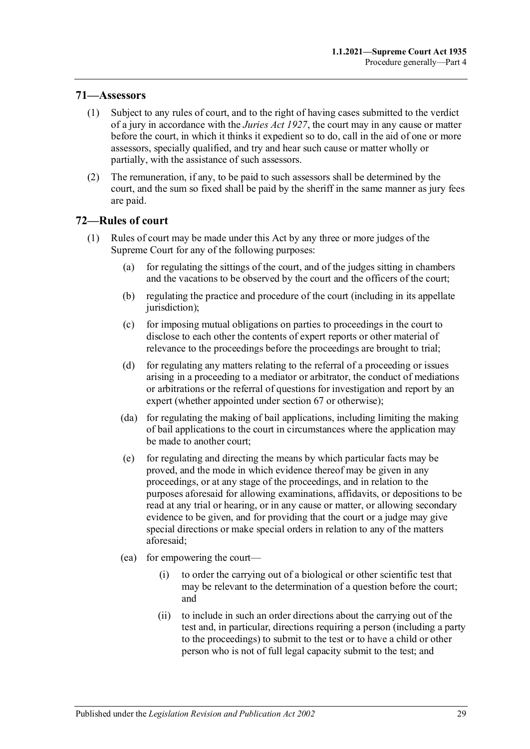## <span id="page-28-0"></span>**71—Assessors**

- (1) Subject to any rules of court, and to the right of having cases submitted to the verdict of a jury in accordance with the *[Juries Act](http://www.legislation.sa.gov.au/index.aspx?action=legref&type=act&legtitle=Juries%20Act%201927) 1927*, the court may in any cause or matter before the court, in which it thinks it expedient so to do, call in the aid of one or more assessors, specially qualified, and try and hear such cause or matter wholly or partially, with the assistance of such assessors.
- (2) The remuneration, if any, to be paid to such assessors shall be determined by the court, and the sum so fixed shall be paid by the sheriff in the same manner as jury fees are paid.

#### <span id="page-28-1"></span>**72—Rules of court**

- (1) Rules of court may be made under this Act by any three or more judges of the Supreme Court for any of the following purposes:
	- (a) for regulating the sittings of the court, and of the judges sitting in chambers and the vacations to be observed by the court and the officers of the court;
	- (b) regulating the practice and procedure of the court (including in its appellate jurisdiction);
	- (c) for imposing mutual obligations on parties to proceedings in the court to disclose to each other the contents of expert reports or other material of relevance to the proceedings before the proceedings are brought to trial;
	- (d) for regulating any matters relating to the referral of a proceeding or issues arising in a proceeding to a mediator or arbitrator, the conduct of mediations or arbitrations or the referral of questions for investigation and report by an expert (whether appointed under [section](#page-27-1) 67 or otherwise);
	- (da) for regulating the making of bail applications, including limiting the making of bail applications to the court in circumstances where the application may be made to another court;
	- (e) for regulating and directing the means by which particular facts may be proved, and the mode in which evidence thereof may be given in any proceedings, or at any stage of the proceedings, and in relation to the purposes aforesaid for allowing examinations, affidavits, or depositions to be read at any trial or hearing, or in any cause or matter, or allowing secondary evidence to be given, and for providing that the court or a judge may give special directions or make special orders in relation to any of the matters aforesaid;
	- (ea) for empowering the court—
		- (i) to order the carrying out of a biological or other scientific test that may be relevant to the determination of a question before the court; and
		- (ii) to include in such an order directions about the carrying out of the test and, in particular, directions requiring a person (including a party to the proceedings) to submit to the test or to have a child or other person who is not of full legal capacity submit to the test; and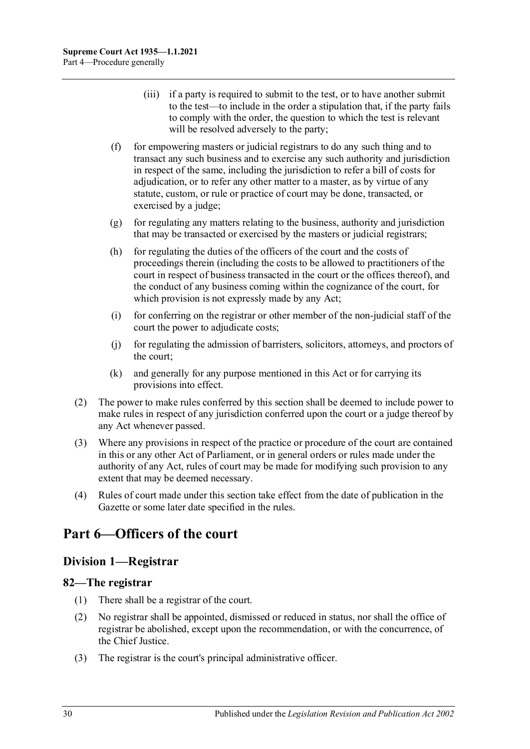- (iii) if a party is required to submit to the test, or to have another submit to the test—to include in the order a stipulation that, if the party fails to comply with the order, the question to which the test is relevant will be resolved adversely to the party;
- (f) for empowering masters or judicial registrars to do any such thing and to transact any such business and to exercise any such authority and jurisdiction in respect of the same, including the jurisdiction to refer a bill of costs for adjudication, or to refer any other matter to a master, as by virtue of any statute, custom, or rule or practice of court may be done, transacted, or exercised by a judge;
- (g) for regulating any matters relating to the business, authority and jurisdiction that may be transacted or exercised by the masters or judicial registrars;
- (h) for regulating the duties of the officers of the court and the costs of proceedings therein (including the costs to be allowed to practitioners of the court in respect of business transacted in the court or the offices thereof), and the conduct of any business coming within the cognizance of the court, for which provision is not expressly made by any Act;
- (i) for conferring on the registrar or other member of the non-judicial staff of the court the power to adjudicate costs;
- (j) for regulating the admission of barristers, solicitors, attorneys, and proctors of the court;
- (k) and generally for any purpose mentioned in this Act or for carrying its provisions into effect.
- (2) The power to make rules conferred by this section shall be deemed to include power to make rules in respect of any jurisdiction conferred upon the court or a judge thereof by any Act whenever passed.
- (3) Where any provisions in respect of the practice or procedure of the court are contained in this or any other Act of Parliament, or in general orders or rules made under the authority of any Act, rules of court may be made for modifying such provision to any extent that may be deemed necessary.
- (4) Rules of court made under this section take effect from the date of publication in the Gazette or some later date specified in the rules.

# <span id="page-29-0"></span>**Part 6—Officers of the court**

# <span id="page-29-1"></span>**Division 1—Registrar**

## <span id="page-29-2"></span>**82—The registrar**

- (1) There shall be a registrar of the court.
- (2) No registrar shall be appointed, dismissed or reduced in status, nor shall the office of registrar be abolished, except upon the recommendation, or with the concurrence, of the Chief Justice.
- (3) The registrar is the court's principal administrative officer.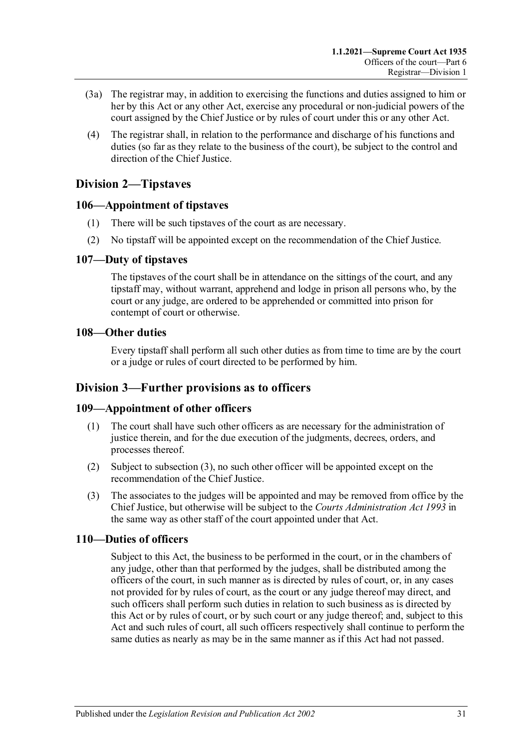- (3a) The registrar may, in addition to exercising the functions and duties assigned to him or her by this Act or any other Act, exercise any procedural or non-judicial powers of the court assigned by the Chief Justice or by rules of court under this or any other Act.
- (4) The registrar shall, in relation to the performance and discharge of his functions and duties (so far as they relate to the business of the court), be subject to the control and direction of the Chief Justice.

# <span id="page-30-0"></span>**Division 2—Tipstaves**

## <span id="page-30-1"></span>**106—Appointment of tipstaves**

- (1) There will be such tipstaves of the court as are necessary.
- (2) No tipstaff will be appointed except on the recommendation of the Chief Justice.

## <span id="page-30-2"></span>**107—Duty of tipstaves**

The tipstaves of the court shall be in attendance on the sittings of the court, and any tipstaff may, without warrant, apprehend and lodge in prison all persons who, by the court or any judge, are ordered to be apprehended or committed into prison for contempt of court or otherwise.

## <span id="page-30-3"></span>**108—Other duties**

Every tipstaff shall perform all such other duties as from time to time are by the court or a judge or rules of court directed to be performed by him.

# <span id="page-30-4"></span>**Division 3—Further provisions as to officers**

# <span id="page-30-5"></span>**109—Appointment of other officers**

- (1) The court shall have such other officers as are necessary for the administration of justice therein, and for the due execution of the judgments, decrees, orders, and processes thereof.
- (2) Subject to [subsection](#page-30-7) (3), no such other officer will be appointed except on the recommendation of the Chief Justice.
- <span id="page-30-7"></span>(3) The associates to the judges will be appointed and may be removed from office by the Chief Justice, but otherwise will be subject to the *[Courts Administration Act](http://www.legislation.sa.gov.au/index.aspx?action=legref&type=act&legtitle=Courts%20Administration%20Act%201993) 1993* in the same way as other staff of the court appointed under that Act.

# <span id="page-30-6"></span>**110—Duties of officers**

Subject to this Act, the business to be performed in the court, or in the chambers of any judge, other than that performed by the judges, shall be distributed among the officers of the court, in such manner as is directed by rules of court, or, in any cases not provided for by rules of court, as the court or any judge thereof may direct, and such officers shall perform such duties in relation to such business as is directed by this Act or by rules of court, or by such court or any judge thereof; and, subject to this Act and such rules of court, all such officers respectively shall continue to perform the same duties as nearly as may be in the same manner as if this Act had not passed.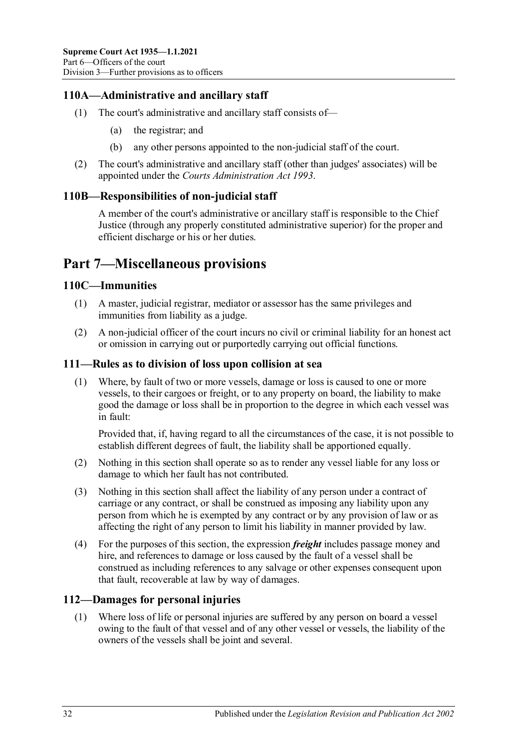# <span id="page-31-0"></span>**110A—Administrative and ancillary staff**

- (1) The court's administrative and ancillary staff consists of—
	- (a) the registrar; and
	- (b) any other persons appointed to the non-judicial staff of the court.
- (2) The court's administrative and ancillary staff (other than judges' associates) will be appointed under the *[Courts Administration Act](http://www.legislation.sa.gov.au/index.aspx?action=legref&type=act&legtitle=Courts%20Administration%20Act%201993) 1993*.

## <span id="page-31-1"></span>**110B—Responsibilities of non-judicial staff**

A member of the court's administrative or ancillary staff is responsible to the Chief Justice (through any properly constituted administrative superior) for the proper and efficient discharge or his or her duties.

# <span id="page-31-2"></span>**Part 7—Miscellaneous provisions**

## <span id="page-31-3"></span>**110C—Immunities**

- (1) A master, judicial registrar, mediator or assessor has the same privileges and immunities from liability as a judge.
- (2) A non-judicial officer of the court incurs no civil or criminal liability for an honest act or omission in carrying out or purportedly carrying out official functions.

## <span id="page-31-4"></span>**111—Rules as to division of loss upon collision at sea**

(1) Where, by fault of two or more vessels, damage or loss is caused to one or more vessels, to their cargoes or freight, or to any property on board, the liability to make good the damage or loss shall be in proportion to the degree in which each vessel was in fault:

Provided that, if, having regard to all the circumstances of the case, it is not possible to establish different degrees of fault, the liability shall be apportioned equally.

- (2) Nothing in this section shall operate so as to render any vessel liable for any loss or damage to which her fault has not contributed.
- (3) Nothing in this section shall affect the liability of any person under a contract of carriage or any contract, or shall be construed as imposing any liability upon any person from which he is exempted by any contract or by any provision of law or as affecting the right of any person to limit his liability in manner provided by law.
- (4) For the purposes of this section, the expression *freight* includes passage money and hire, and references to damage or loss caused by the fault of a vessel shall be construed as including references to any salvage or other expenses consequent upon that fault, recoverable at law by way of damages.

# <span id="page-31-5"></span>**112—Damages for personal injuries**

(1) Where loss of life or personal injuries are suffered by any person on board a vessel owing to the fault of that vessel and of any other vessel or vessels, the liability of the owners of the vessels shall be joint and several.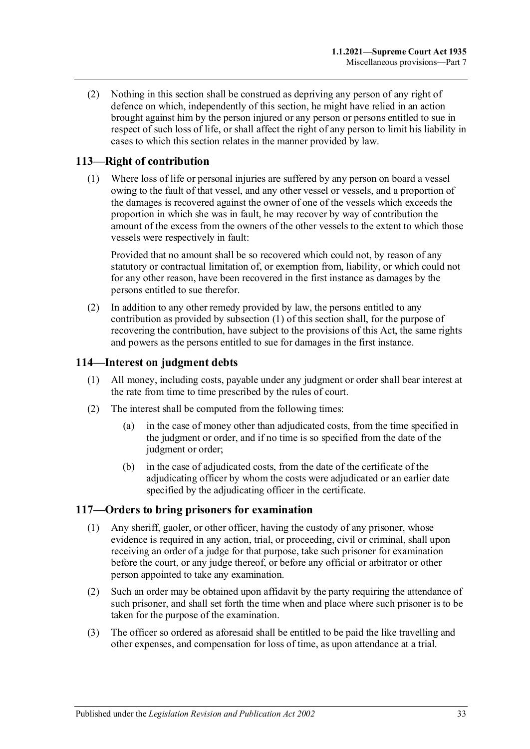(2) Nothing in this section shall be construed as depriving any person of any right of defence on which, independently of this section, he might have relied in an action brought against him by the person injured or any person or persons entitled to sue in respect of such loss of life, or shall affect the right of any person to limit his liability in cases to which this section relates in the manner provided by law.

# <span id="page-32-3"></span><span id="page-32-0"></span>**113—Right of contribution**

(1) Where loss of life or personal injuries are suffered by any person on board a vessel owing to the fault of that vessel, and any other vessel or vessels, and a proportion of the damages is recovered against the owner of one of the vessels which exceeds the proportion in which she was in fault, he may recover by way of contribution the amount of the excess from the owners of the other vessels to the extent to which those vessels were respectively in fault:

Provided that no amount shall be so recovered which could not, by reason of any statutory or contractual limitation of, or exemption from, liability, or which could not for any other reason, have been recovered in the first instance as damages by the persons entitled to sue therefor.

(2) In addition to any other remedy provided by law, the persons entitled to any contribution as provided by [subsection](#page-32-3) (1) of this section shall, for the purpose of recovering the contribution, have subject to the provisions of this Act, the same rights and powers as the persons entitled to sue for damages in the first instance.

# <span id="page-32-1"></span>**114—Interest on judgment debts**

- (1) All money, including costs, payable under any judgment or order shall bear interest at the rate from time to time prescribed by the rules of court.
- (2) The interest shall be computed from the following times:
	- (a) in the case of money other than adjudicated costs, from the time specified in the judgment or order, and if no time is so specified from the date of the judgment or order;
	- (b) in the case of adjudicated costs, from the date of the certificate of the adjudicating officer by whom the costs were adjudicated or an earlier date specified by the adjudicating officer in the certificate.

# <span id="page-32-2"></span>**117—Orders to bring prisoners for examination**

- (1) Any sheriff, gaoler, or other officer, having the custody of any prisoner, whose evidence is required in any action, trial, or proceeding, civil or criminal, shall upon receiving an order of a judge for that purpose, take such prisoner for examination before the court, or any judge thereof, or before any official or arbitrator or other person appointed to take any examination.
- (2) Such an order may be obtained upon affidavit by the party requiring the attendance of such prisoner, and shall set forth the time when and place where such prisoner is to be taken for the purpose of the examination.
- (3) The officer so ordered as aforesaid shall be entitled to be paid the like travelling and other expenses, and compensation for loss of time, as upon attendance at a trial.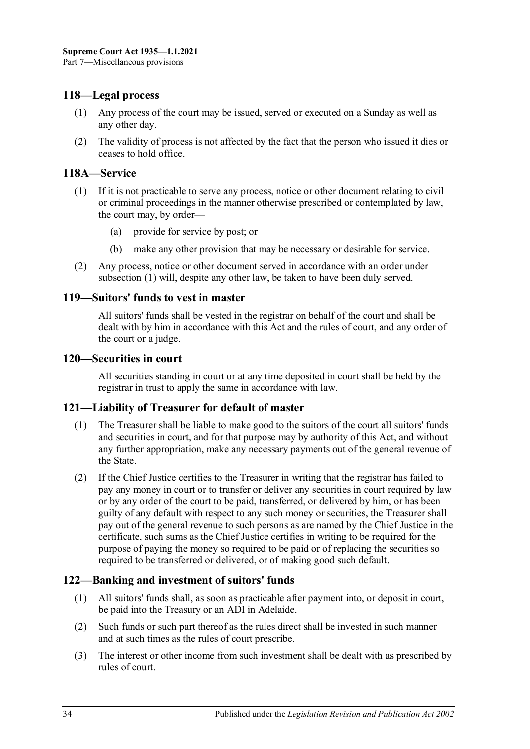## <span id="page-33-0"></span>**118—Legal process**

- (1) Any process of the court may be issued, served or executed on a Sunday as well as any other day.
- (2) The validity of process is not affected by the fact that the person who issued it dies or ceases to hold office.

## <span id="page-33-6"></span><span id="page-33-1"></span>**118A—Service**

- (1) If it is not practicable to serve any process, notice or other document relating to civil or criminal proceedings in the manner otherwise prescribed or contemplated by law, the court may, by order—
	- (a) provide for service by post; or
	- (b) make any other provision that may be necessary or desirable for service.
- (2) Any process, notice or other document served in accordance with an order under [subsection](#page-33-6) (1) will, despite any other law, be taken to have been duly served.

#### <span id="page-33-2"></span>**119—Suitors' funds to vest in master**

All suitors' funds shall be vested in the registrar on behalf of the court and shall be dealt with by him in accordance with this Act and the rules of court, and any order of the court or a judge.

#### <span id="page-33-3"></span>**120—Securities in court**

All securities standing in court or at any time deposited in court shall be held by the registrar in trust to apply the same in accordance with law.

## <span id="page-33-4"></span>**121—Liability of Treasurer for default of master**

- (1) The Treasurer shall be liable to make good to the suitors of the court all suitors' funds and securities in court, and for that purpose may by authority of this Act, and without any further appropriation, make any necessary payments out of the general revenue of the State.
- (2) If the Chief Justice certifies to the Treasurer in writing that the registrar has failed to pay any money in court or to transfer or deliver any securities in court required by law or by any order of the court to be paid, transferred, or delivered by him, or has been guilty of any default with respect to any such money or securities, the Treasurer shall pay out of the general revenue to such persons as are named by the Chief Justice in the certificate, such sums as the Chief Justice certifies in writing to be required for the purpose of paying the money so required to be paid or of replacing the securities so required to be transferred or delivered, or of making good such default.

## <span id="page-33-5"></span>**122—Banking and investment of suitors' funds**

- (1) All suitors' funds shall, as soon as practicable after payment into, or deposit in court, be paid into the Treasury or an ADI in Adelaide.
- (2) Such funds or such part thereof as the rules direct shall be invested in such manner and at such times as the rules of court prescribe.
- (3) The interest or other income from such investment shall be dealt with as prescribed by rules of court.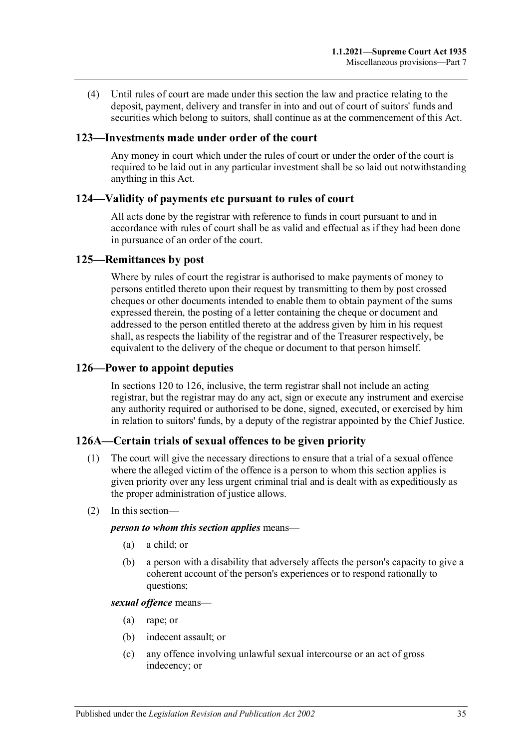(4) Until rules of court are made under this section the law and practice relating to the deposit, payment, delivery and transfer in into and out of court of suitors' funds and securities which belong to suitors, shall continue as at the commencement of this Act.

#### <span id="page-34-0"></span>**123—Investments made under order of the court**

Any money in court which under the rules of court or under the order of the court is required to be laid out in any particular investment shall be so laid out notwithstanding anything in this Act.

#### <span id="page-34-1"></span>**124—Validity of payments etc pursuant to rules of court**

All acts done by the registrar with reference to funds in court pursuant to and in accordance with rules of court shall be as valid and effectual as if they had been done in pursuance of an order of the court.

#### <span id="page-34-2"></span>**125—Remittances by post**

Where by rules of court the registrar is authorised to make payments of money to persons entitled thereto upon their request by transmitting to them by post crossed cheques or other documents intended to enable them to obtain payment of the sums expressed therein, the posting of a letter containing the cheque or document and addressed to the person entitled thereto at the address given by him in his request shall, as respects the liability of the registrar and of the Treasurer respectively, be equivalent to the delivery of the cheque or document to that person himself.

#### <span id="page-34-3"></span>**126—Power to appoint deputies**

In [sections](#page-33-3) 120 to 126, inclusive, the term registrar shall not include an acting registrar, but the registrar may do any act, sign or execute any instrument and exercise any authority required or authorised to be done, signed, executed, or exercised by him in relation to suitors' funds, by a deputy of the registrar appointed by the Chief Justice.

## <span id="page-34-4"></span>**126A—Certain trials of sexual offences to be given priority**

- (1) The court will give the necessary directions to ensure that a trial of a sexual offence where the alleged victim of the offence is a person to whom this section applies is given priority over any less urgent criminal trial and is dealt with as expeditiously as the proper administration of justice allows.
- (2) In this section—

#### *person to whom this section applies* means—

- (a) a child; or
- (b) a person with a disability that adversely affects the person's capacity to give a coherent account of the person's experiences or to respond rationally to questions;

#### *sexual offence* means—

- (a) rape; or
- (b) indecent assault; or
- (c) any offence involving unlawful sexual intercourse or an act of gross indecency; or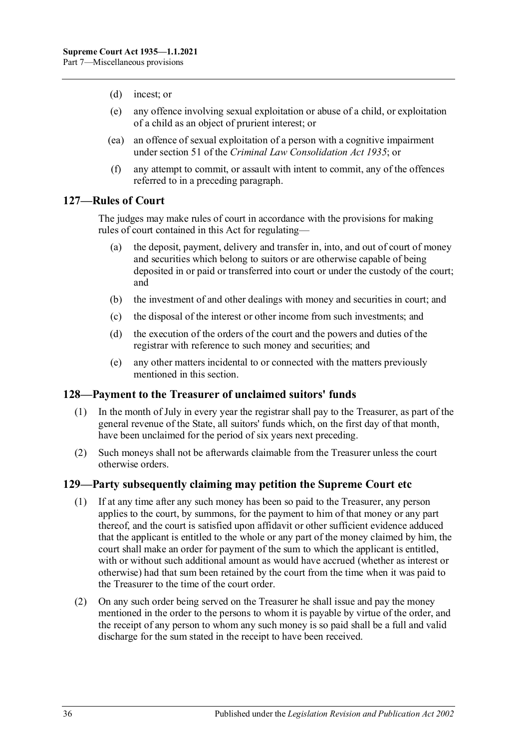- (d) incest; or
- (e) any offence involving sexual exploitation or abuse of a child, or exploitation of a child as an object of prurient interest; or
- (ea) an offence of sexual exploitation of a person with a cognitive impairment under section 51 of the *[Criminal Law Consolidation Act](http://www.legislation.sa.gov.au/index.aspx?action=legref&type=act&legtitle=Criminal%20Law%20Consolidation%20Act%201935) 1935*; or
- (f) any attempt to commit, or assault with intent to commit, any of the offences referred to in a preceding paragraph.

## <span id="page-35-0"></span>**127—Rules of Court**

The judges may make rules of court in accordance with the provisions for making rules of court contained in this Act for regulating—

- (a) the deposit, payment, delivery and transfer in, into, and out of court of money and securities which belong to suitors or are otherwise capable of being deposited in or paid or transferred into court or under the custody of the court; and
- (b) the investment of and other dealings with money and securities in court; and
- (c) the disposal of the interest or other income from such investments; and
- (d) the execution of the orders of the court and the powers and duties of the registrar with reference to such money and securities; and
- (e) any other matters incidental to or connected with the matters previously mentioned in this section.

## <span id="page-35-1"></span>**128—Payment to the Treasurer of unclaimed suitors' funds**

- (1) In the month of July in every year the registrar shall pay to the Treasurer, as part of the general revenue of the State, all suitors' funds which, on the first day of that month, have been unclaimed for the period of six years next preceding.
- (2) Such moneys shall not be afterwards claimable from the Treasurer unless the court otherwise orders.

#### <span id="page-35-2"></span>**129—Party subsequently claiming may petition the Supreme Court etc**

- (1) If at any time after any such money has been so paid to the Treasurer, any person applies to the court, by summons, for the payment to him of that money or any part thereof, and the court is satisfied upon affidavit or other sufficient evidence adduced that the applicant is entitled to the whole or any part of the money claimed by him, the court shall make an order for payment of the sum to which the applicant is entitled, with or without such additional amount as would have accrued (whether as interest or otherwise) had that sum been retained by the court from the time when it was paid to the Treasurer to the time of the court order.
- (2) On any such order being served on the Treasurer he shall issue and pay the money mentioned in the order to the persons to whom it is payable by virtue of the order, and the receipt of any person to whom any such money is so paid shall be a full and valid discharge for the sum stated in the receipt to have been received.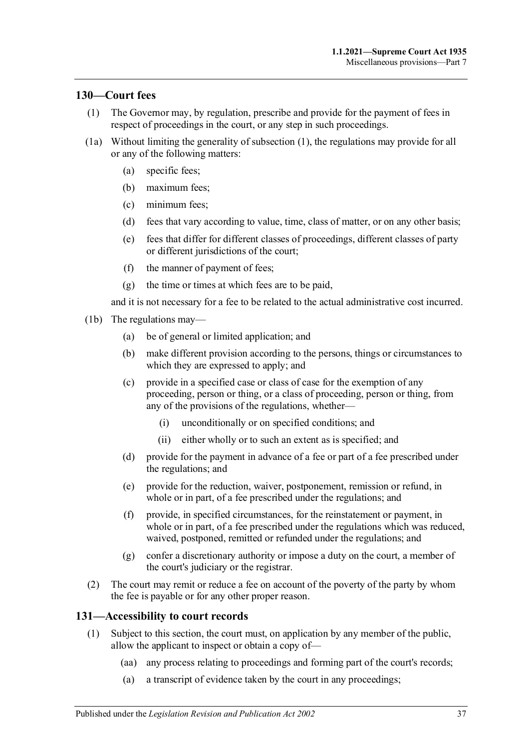## <span id="page-36-2"></span><span id="page-36-0"></span>**130—Court fees**

- (1) The Governor may, by regulation, prescribe and provide for the payment of fees in respect of proceedings in the court, or any step in such proceedings.
- (1a) Without limiting the generality of [subsection](#page-36-2) (1), the regulations may provide for all or any of the following matters:
	- (a) specific fees;
	- (b) maximum fees;
	- (c) minimum fees;
	- (d) fees that vary according to value, time, class of matter, or on any other basis;
	- (e) fees that differ for different classes of proceedings, different classes of party or different jurisdictions of the court;
	- (f) the manner of payment of fees;
	- (g) the time or times at which fees are to be paid,

and it is not necessary for a fee to be related to the actual administrative cost incurred.

- (1b) The regulations may—
	- (a) be of general or limited application; and
	- (b) make different provision according to the persons, things or circumstances to which they are expressed to apply; and
	- (c) provide in a specified case or class of case for the exemption of any proceeding, person or thing, or a class of proceeding, person or thing, from any of the provisions of the regulations, whether—
		- (i) unconditionally or on specified conditions; and
		- (ii) either wholly or to such an extent as is specified; and
	- (d) provide for the payment in advance of a fee or part of a fee prescribed under the regulations; and
	- (e) provide for the reduction, waiver, postponement, remission or refund, in whole or in part, of a fee prescribed under the regulations; and
	- (f) provide, in specified circumstances, for the reinstatement or payment, in whole or in part, of a fee prescribed under the regulations which was reduced, waived, postponed, remitted or refunded under the regulations; and
	- (g) confer a discretionary authority or impose a duty on the court, a member of the court's judiciary or the registrar.
- (2) The court may remit or reduce a fee on account of the poverty of the party by whom the fee is payable or for any other proper reason.

## <span id="page-36-1"></span>**131—Accessibility to court records**

- (1) Subject to this section, the court must, on application by any member of the public, allow the applicant to inspect or obtain a copy of—
	- (aa) any process relating to proceedings and forming part of the court's records;
	- (a) a transcript of evidence taken by the court in any proceedings;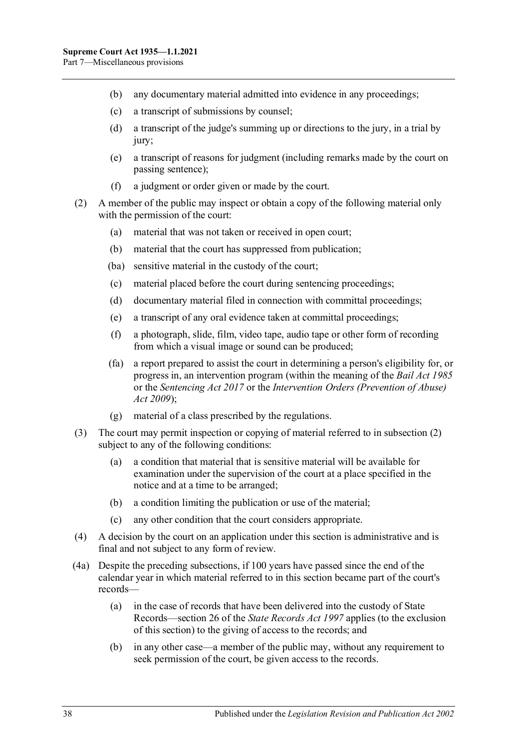- (b) any documentary material admitted into evidence in any proceedings;
- (c) a transcript of submissions by counsel;
- (d) a transcript of the judge's summing up or directions to the jury, in a trial by jury;
- (e) a transcript of reasons for judgment (including remarks made by the court on passing sentence);
- (f) a judgment or order given or made by the court.
- <span id="page-37-0"></span>(2) A member of the public may inspect or obtain a copy of the following material only with the permission of the court:
	- (a) material that was not taken or received in open court;
	- (b) material that the court has suppressed from publication;
	- (ba) sensitive material in the custody of the court;
	- (c) material placed before the court during sentencing proceedings;
	- (d) documentary material filed in connection with committal proceedings;
	- (e) a transcript of any oral evidence taken at committal proceedings;
	- (f) a photograph, slide, film, video tape, audio tape or other form of recording from which a visual image or sound can be produced;
	- (fa) a report prepared to assist the court in determining a person's eligibility for, or progress in, an intervention program (within the meaning of the *[Bail Act](http://www.legislation.sa.gov.au/index.aspx?action=legref&type=act&legtitle=Bail%20Act%201985) 1985* or the *[Sentencing Act](http://www.legislation.sa.gov.au/index.aspx?action=legref&type=act&legtitle=Sentencing%20Act%202017) 2017* or the *Intervention Orders (Prevention of Abuse) Act 2009*);
	- (g) material of a class prescribed by the regulations.
- (3) The court may permit inspection or copying of material referred to in [subsection](#page-37-0) (2) subject to any of the following conditions:
	- (a) a condition that material that is sensitive material will be available for examination under the supervision of the court at a place specified in the notice and at a time to be arranged;
	- (b) a condition limiting the publication or use of the material;
	- (c) any other condition that the court considers appropriate.
- (4) A decision by the court on an application under this section is administrative and is final and not subject to any form of review.
- (4a) Despite the preceding subsections, if 100 years have passed since the end of the calendar year in which material referred to in this section became part of the court's records—
	- (a) in the case of records that have been delivered into the custody of State Records—section 26 of the *[State Records Act](http://www.legislation.sa.gov.au/index.aspx?action=legref&type=act&legtitle=State%20Records%20Act%201997) 1997* applies (to the exclusion of this section) to the giving of access to the records; and
	- (b) in any other case—a member of the public may, without any requirement to seek permission of the court, be given access to the records.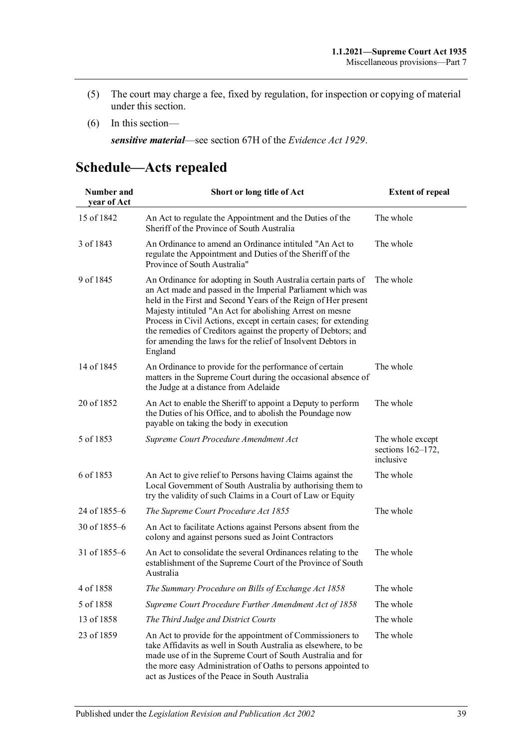- (5) The court may charge a fee, fixed by regulation, for inspection or copying of material under this section.
- (6) In this section—

*sensitive material*—see section 67H of the *[Evidence Act](http://www.legislation.sa.gov.au/index.aspx?action=legref&type=act&legtitle=Evidence%20Act%201929) 1929*.

# <span id="page-38-0"></span>**Schedule—Acts repealed**

| Number and<br>year of Act | Short or long title of Act                                                                                                                                                                                                                                                                                                                                                                                                                                                  | <b>Extent of repeal</b>                               |
|---------------------------|-----------------------------------------------------------------------------------------------------------------------------------------------------------------------------------------------------------------------------------------------------------------------------------------------------------------------------------------------------------------------------------------------------------------------------------------------------------------------------|-------------------------------------------------------|
| 15 of 1842                | An Act to regulate the Appointment and the Duties of the<br>Sheriff of the Province of South Australia                                                                                                                                                                                                                                                                                                                                                                      | The whole                                             |
| 3 of 1843                 | An Ordinance to amend an Ordinance intituled "An Act to<br>regulate the Appointment and Duties of the Sheriff of the<br>Province of South Australia"                                                                                                                                                                                                                                                                                                                        | The whole                                             |
| 9 of 1845                 | An Ordinance for adopting in South Australia certain parts of<br>an Act made and passed in the Imperial Parliament which was<br>held in the First and Second Years of the Reign of Her present<br>Majesty intituled "An Act for abolishing Arrest on mesne<br>Process in Civil Actions, except in certain cases; for extending<br>the remedies of Creditors against the property of Debtors; and<br>for amending the laws for the relief of Insolvent Debtors in<br>England | The whole                                             |
| 14 of 1845                | An Ordinance to provide for the performance of certain<br>matters in the Supreme Court during the occasional absence of<br>the Judge at a distance from Adelaide                                                                                                                                                                                                                                                                                                            | The whole                                             |
| 20 of 1852                | An Act to enable the Sheriff to appoint a Deputy to perform<br>the Duties of his Office, and to abolish the Poundage now<br>payable on taking the body in execution                                                                                                                                                                                                                                                                                                         | The whole                                             |
| 5 of 1853                 | Supreme Court Procedure Amendment Act                                                                                                                                                                                                                                                                                                                                                                                                                                       | The whole except<br>sections $162-172$ ,<br>inclusive |
| 6 of 1853                 | An Act to give relief to Persons having Claims against the<br>Local Government of South Australia by authorising them to<br>try the validity of such Claims in a Court of Law or Equity                                                                                                                                                                                                                                                                                     | The whole                                             |
| 24 of 1855–6              | The Supreme Court Procedure Act 1855                                                                                                                                                                                                                                                                                                                                                                                                                                        | The whole                                             |
| 30 of 1855-6              | An Act to facilitate Actions against Persons absent from the<br>colony and against persons sued as Joint Contractors                                                                                                                                                                                                                                                                                                                                                        |                                                       |
| 31 of 1855–6              | An Act to consolidate the several Ordinances relating to the<br>establishment of the Supreme Court of the Province of South<br>Australia                                                                                                                                                                                                                                                                                                                                    | The whole                                             |
| 4 of 1858                 | The Summary Procedure on Bills of Exchange Act 1858                                                                                                                                                                                                                                                                                                                                                                                                                         | The whole                                             |
| 5 of 1858                 | Supreme Court Procedure Further Amendment Act of 1858                                                                                                                                                                                                                                                                                                                                                                                                                       | The whole                                             |
| 13 of 1858                | The Third Judge and District Courts                                                                                                                                                                                                                                                                                                                                                                                                                                         | The whole                                             |
| 23 of 1859                | An Act to provide for the appointment of Commissioners to<br>take Affidavits as well in South Australia as elsewhere, to be<br>made use of in the Supreme Court of South Australia and for<br>the more easy Administration of Oaths to persons appointed to<br>act as Justices of the Peace in South Australia                                                                                                                                                              | The whole                                             |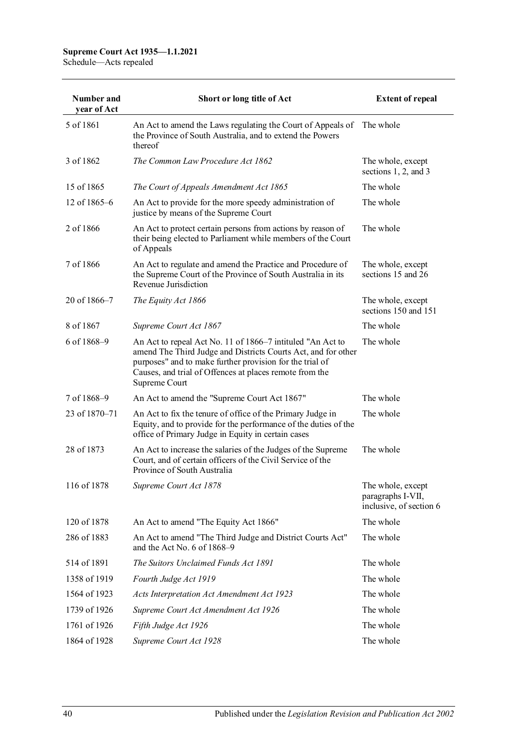| Number and<br>year of Act | Short or long title of Act                                                                                                                                                                                                                                          | <b>Extent of repeal</b>                                           |
|---------------------------|---------------------------------------------------------------------------------------------------------------------------------------------------------------------------------------------------------------------------------------------------------------------|-------------------------------------------------------------------|
| 5 of 1861                 | An Act to amend the Laws regulating the Court of Appeals of The whole<br>the Province of South Australia, and to extend the Powers<br>thereof                                                                                                                       |                                                                   |
| 3 of 1862                 | The Common Law Procedure Act 1862                                                                                                                                                                                                                                   | The whole, except<br>sections 1, 2, and 3                         |
| 15 of 1865                | The Court of Appeals Amendment Act 1865                                                                                                                                                                                                                             | The whole                                                         |
| 12 of $1865-6$            | An Act to provide for the more speedy administration of<br>justice by means of the Supreme Court                                                                                                                                                                    | The whole                                                         |
| 2 of 1866                 | An Act to protect certain persons from actions by reason of<br>their being elected to Parliament while members of the Court<br>of Appeals                                                                                                                           | The whole                                                         |
| 7 of 1866                 | An Act to regulate and amend the Practice and Procedure of<br>the Supreme Court of the Province of South Australia in its<br>Revenue Jurisdiction                                                                                                                   | The whole, except<br>sections 15 and 26                           |
| 20 of 1866-7              | The Equity Act 1866                                                                                                                                                                                                                                                 | The whole, except<br>sections 150 and 151                         |
| 8 of 1867                 | Supreme Court Act 1867                                                                                                                                                                                                                                              | The whole                                                         |
| 6 of 1868-9               | An Act to repeal Act No. 11 of 1866–7 intituled "An Act to<br>amend The Third Judge and Districts Courts Act, and for other<br>purposes" and to make further provision for the trial of<br>Causes, and trial of Offences at places remote from the<br>Supreme Court | The whole                                                         |
| 7 of 1868-9               | An Act to amend the "Supreme Court Act 1867"                                                                                                                                                                                                                        | The whole                                                         |
| 23 of 1870–71             | An Act to fix the tenure of office of the Primary Judge in<br>Equity, and to provide for the performance of the duties of the<br>office of Primary Judge in Equity in certain cases                                                                                 | The whole                                                         |
| 28 of 1873                | An Act to increase the salaries of the Judges of the Supreme<br>Court, and of certain officers of the Civil Service of the<br>Province of South Australia                                                                                                           | The whole                                                         |
| 116 of 1878               | Supreme Court Act 1878                                                                                                                                                                                                                                              | The whole, except<br>paragraphs I-VII,<br>inclusive, of section 6 |
| 120 of 1878               | An Act to amend "The Equity Act 1866"                                                                                                                                                                                                                               | The whole                                                         |
| 286 of 1883               | An Act to amend "The Third Judge and District Courts Act"<br>and the Act No. 6 of 1868-9                                                                                                                                                                            | The whole                                                         |
| 514 of 1891               | The Suitors Unclaimed Funds Act 1891                                                                                                                                                                                                                                | The whole                                                         |
| 1358 of 1919              | Fourth Judge Act 1919                                                                                                                                                                                                                                               | The whole                                                         |
| 1564 of 1923              | Acts Interpretation Act Amendment Act 1923                                                                                                                                                                                                                          | The whole                                                         |
| 1739 of 1926              | Supreme Court Act Amendment Act 1926                                                                                                                                                                                                                                | The whole                                                         |
| 1761 of 1926              | Fifth Judge Act 1926                                                                                                                                                                                                                                                | The whole                                                         |
| 1864 of 1928              | Supreme Court Act 1928                                                                                                                                                                                                                                              | The whole                                                         |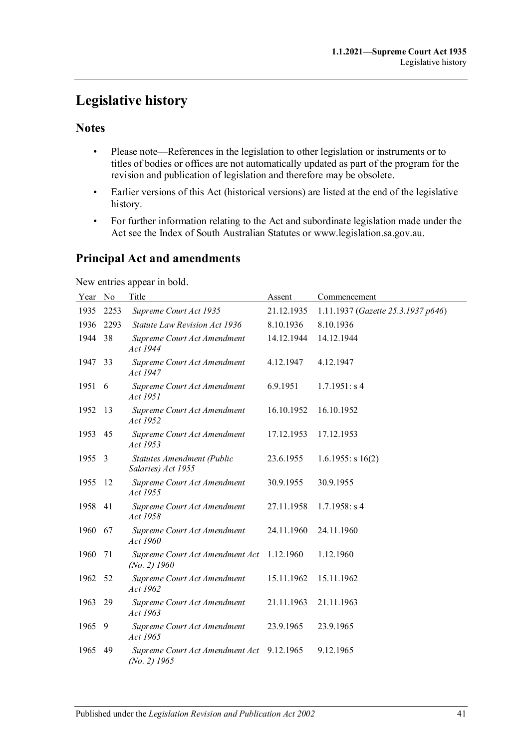# <span id="page-40-0"></span>**Legislative history**

## **Notes**

- Please note—References in the legislation to other legislation or instruments or to titles of bodies or offices are not automatically updated as part of the program for the revision and publication of legislation and therefore may be obsolete.
- Earlier versions of this Act (historical versions) are listed at the end of the legislative history.
- For further information relating to the Act and subordinate legislation made under the Act see the Index of South Australian Statutes or www.legislation.sa.gov.au.

# **Principal Act and amendments**

New entries appear in bold.

| Year No |      | Title                                             | Assent     | Commencement                       |
|---------|------|---------------------------------------------------|------------|------------------------------------|
| 1935    | 2253 | Supreme Court Act 1935                            | 21.12.1935 | 1.11.1937 (Gazette 25.3.1937 p646) |
| 1936    | 2293 | Statute Law Revision Act 1936                     | 8.10.1936  | 8.10.1936                          |
| 1944    | 38   | Supreme Court Act Amendment<br>Act 1944           | 14.12.1944 | 14.12.1944                         |
| 1947 33 |      | Supreme Court Act Amendment<br>Act 1947           | 4.12.1947  | 4.12.1947                          |
| 1951    | - 6  | Supreme Court Act Amendment<br>Act 1951           | 6.9.1951   | 1.7.1951: s4                       |
| 1952    | 13   | Supreme Court Act Amendment<br>Act 1952           | 16.10.1952 | 16.10.1952                         |
| 1953    | -45  | Supreme Court Act Amendment<br>Act 1953           | 17.12.1953 | 17.12.1953                         |
| 1955    | - 3  | Statutes Amendment (Public<br>Salaries) Act 1955  | 23.6.1955  | $1.6.1955$ : s 16(2)               |
| 1955    | -12  | Supreme Court Act Amendment<br>Act 1955           | 30.9.1955  | 30.9.1955                          |
| 1958 41 |      | Supreme Court Act Amendment<br>Act 1958           | 27.11.1958 | 1.7.1958: s4                       |
| 1960    | 67   | Supreme Court Act Amendment<br>Act 1960           | 24.11.1960 | 24.11.1960                         |
| 1960    | 71   | Supreme Court Act Amendment Act<br>$(No. 2)$ 1960 | 1.12.1960  | 1.12.1960                          |
| 1962    | 52   | Supreme Court Act Amendment<br>Act 1962           | 15.11.1962 | 15.11.1962                         |
| 1963    | 29   | Supreme Court Act Amendment<br>Act 1963           | 21.11.1963 | 21.11.1963                         |
| 1965    | -9   | Supreme Court Act Amendment<br>Act 1965           | 23.9.1965  | 23.9.1965                          |
| 1965    | - 49 | Supreme Court Act Amendment Act<br>$(No. 2)$ 1965 | 9.12.1965  | 9.12.1965                          |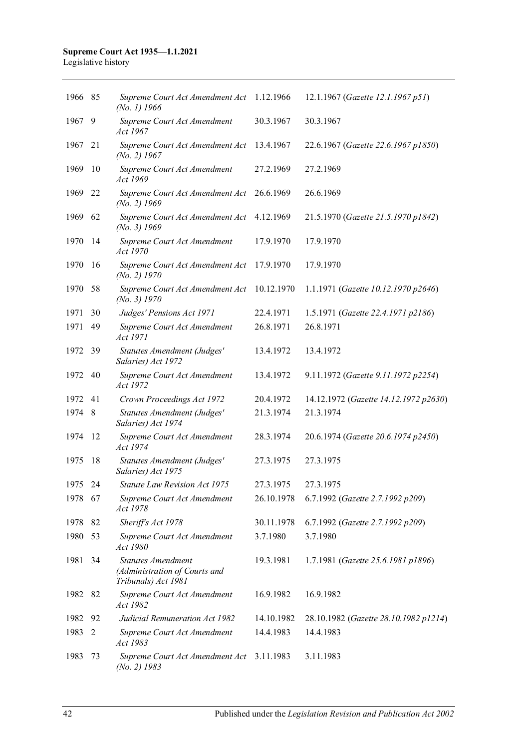#### **Supreme Court Act 1935—1.1.2021** Legislative history

| 1966 85 |    | Supreme Court Act Amendment Act<br>$(No. 1)$ 1966                                 | 1.12.1966  | 12.1.1967 (Gazette 12.1.1967 p51)     |
|---------|----|-----------------------------------------------------------------------------------|------------|---------------------------------------|
| 1967    | 9  | Supreme Court Act Amendment<br>Act 1967                                           | 30.3.1967  | 30.3.1967                             |
| 1967    | 21 | Supreme Court Act Amendment Act<br>$(No. 2)$ 1967                                 | 13.4.1967  | 22.6.1967 (Gazette 22.6.1967 p1850)   |
| 1969    | 10 | Supreme Court Act Amendment<br>Act 1969                                           | 27.2.1969  | 27.2.1969                             |
| 1969    | 22 | Supreme Court Act Amendment Act<br>$(No. 2)$ 1969                                 | 26.6.1969  | 26.6.1969                             |
| 1969    | 62 | Supreme Court Act Amendment Act<br>$(No. 3)$ 1969                                 | 4.12.1969  | 21.5.1970 (Gazette 21.5.1970 p1842)   |
| 1970    | 14 | Supreme Court Act Amendment<br>Act 1970                                           | 17.9.1970  | 17.9.1970                             |
| 1970    | 16 | Supreme Court Act Amendment Act<br>$(No. 2)$ 1970                                 | 17.9.1970  | 17.9.1970                             |
| 1970    | 58 | Supreme Court Act Amendment Act<br>(No. 3) 1970                                   | 10.12.1970 | 1.1.1971 (Gazette 10.12.1970 p2646)   |
| 1971    | 30 | Judges' Pensions Act 1971                                                         | 22.4.1971  | 1.5.1971 (Gazette 22.4.1971 p2186)    |
| 1971    | 49 | Supreme Court Act Amendment<br>Act 1971                                           | 26.8.1971  | 26.8.1971                             |
| 1972    | 39 | Statutes Amendment (Judges'<br>Salaries) Act 1972                                 | 13.4.1972  | 13.4.1972                             |
| 1972    | 40 | Supreme Court Act Amendment<br>Act 1972                                           | 13.4.1972  | 9.11.1972 (Gazette 9.11.1972 p2254)   |
| 1972    | 41 | Crown Proceedings Act 1972                                                        | 20.4.1972  | 14.12.1972 (Gazette 14.12.1972 p2630) |
| 1974    | 8  | Statutes Amendment (Judges'<br>Salaries) Act 1974                                 | 21.3.1974  | 21.3.1974                             |
| 1974    | 12 | Supreme Court Act Amendment<br>Act 1974                                           | 28.3.1974  | 20.6.1974 (Gazette 20.6.1974 p2450)   |
| 1975    | 18 | Statutes Amendment (Judges'<br>Salaries) Act 1975                                 | 27.3.1975  | 27.3.1975                             |
| 1975    | 24 | <b>Statute Law Revision Act 1975</b>                                              | 27.3.1975  | 27.3.1975                             |
| 1978 67 |    | Supreme Court Act Amendment<br>Act 1978                                           | 26.10.1978 | 6.7.1992 (Gazette 2.7.1992 p209)      |
| 1978    | 82 | Sheriff's Act 1978                                                                | 30.11.1978 | 6.7.1992 (Gazette 2.7.1992 p209)      |
| 1980    | 53 | Supreme Court Act Amendment<br>Act 1980                                           | 3.7.1980   | 3.7.1980                              |
| 1981    | 34 | <b>Statutes Amendment</b><br>(Administration of Courts and<br>Tribunals) Act 1981 | 19.3.1981  | 1.7.1981 (Gazette 25.6.1981 p1896)    |
| 1982    | 82 | Supreme Court Act Amendment<br>Act 1982                                           | 16.9.1982  | 16.9.1982                             |
| 1982    | 92 | Judicial Remuneration Act 1982                                                    | 14.10.1982 | 28.10.1982 (Gazette 28.10.1982 p1214) |
| 1983    | 2  | Supreme Court Act Amendment<br>Act 1983                                           | 14.4.1983  | 14.4.1983                             |
| 1983    | 73 | Supreme Court Act Amendment Act 3.11.1983<br>$(No. 2)$ 1983                       |            | 3.11.1983                             |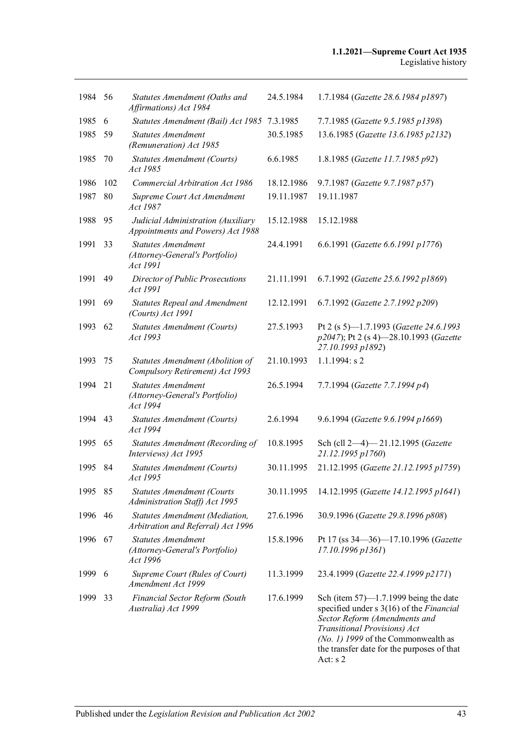| 1984 56 |     | Statutes Amendment (Oaths and<br>Affirmations) Act 1984                 | 24.5.1984  | 1.7.1984 (Gazette 28.6.1984 p1897)                                                                                                                                                                                                                                 |
|---------|-----|-------------------------------------------------------------------------|------------|--------------------------------------------------------------------------------------------------------------------------------------------------------------------------------------------------------------------------------------------------------------------|
| 1985    | 6   | Statutes Amendment (Bail) Act 1985                                      | 7.3.1985   | 7.7.1985 (Gazette 9.5.1985 p1398)                                                                                                                                                                                                                                  |
| 1985    | 59  | <b>Statutes Amendment</b><br>(Remuneration) Act 1985                    | 30.5.1985  | 13.6.1985 (Gazette 13.6.1985 p2132)                                                                                                                                                                                                                                |
| 1985    | 70  | Statutes Amendment (Courts)<br>Act 1985                                 | 6.6.1985   | 1.8.1985 (Gazette 11.7.1985 p92)                                                                                                                                                                                                                                   |
| 1986    | 102 | Commercial Arbitration Act 1986                                         | 18.12.1986 | 9.7.1987 (Gazette 9.7.1987 p57)                                                                                                                                                                                                                                    |
| 1987    | 80  | Supreme Court Act Amendment<br>Act 1987                                 | 19.11.1987 | 19.11.1987                                                                                                                                                                                                                                                         |
| 1988    | 95  | Judicial Administration (Auxiliary<br>Appointments and Powers) Act 1988 | 15.12.1988 | 15.12.1988                                                                                                                                                                                                                                                         |
| 1991    | 33  | <b>Statutes Amendment</b><br>(Attorney-General's Portfolio)<br>Act 1991 | 24.4.1991  | 6.6.1991 (Gazette 6.6.1991 p1776)                                                                                                                                                                                                                                  |
| 1991    | 49  | Director of Public Prosecutions<br>Act 1991                             | 21.11.1991 | 6.7.1992 (Gazette 25.6.1992 p1869)                                                                                                                                                                                                                                 |
| 1991    | 69  | <b>Statutes Repeal and Amendment</b><br>(Courts) Act 1991               | 12.12.1991 | 6.7.1992 (Gazette 2.7.1992 p209)                                                                                                                                                                                                                                   |
| 1993    | 62  | <b>Statutes Amendment (Courts)</b><br>Act 1993                          | 27.5.1993  | Pt 2 (s 5)-1.7.1993 (Gazette 24.6.1993<br>p2047); Pt 2 (s 4)-28.10.1993 (Gazette<br>27.10.1993 p1892)                                                                                                                                                              |
| 1993    | 75  | Statutes Amendment (Abolition of<br>Compulsory Retirement) Act 1993     | 21.10.1993 | $1.1.1994$ : s 2                                                                                                                                                                                                                                                   |
| 1994    | 21  | <b>Statutes Amendment</b><br>(Attorney-General's Portfolio)<br>Act 1994 | 26.5.1994  | 7.7.1994 (Gazette 7.7.1994 p4)                                                                                                                                                                                                                                     |
| 1994    | 43  | Statutes Amendment (Courts)<br>Act 1994                                 | 2.6.1994   | 9.6.1994 (Gazette 9.6.1994 p1669)                                                                                                                                                                                                                                  |
| 1995    | 65  | Statutes Amendment (Recording of<br>Interviews) Act 1995                | 10.8.1995  | Sch (cll 2-4)-21.12.1995 (Gazette<br>21.12.1995 p1760)                                                                                                                                                                                                             |
| 1995    | 84  | <b>Statutes Amendment (Courts)</b><br>Act 1995                          | 30.11.1995 | 21.12.1995 (Gazette 21.12.1995 p1759)                                                                                                                                                                                                                              |
| 1995    | 85  | <b>Statutes Amendment (Courts</b><br>Administration Staff) Act 1995     | 30.11.1995 | 14.12.1995 (Gazette 14.12.1995 p1641)                                                                                                                                                                                                                              |
| 1996    | 46  | Statutes Amendment (Mediation,<br>Arbitration and Referral) Act 1996    | 27.6.1996  | 30.9.1996 (Gazette 29.8.1996 p808)                                                                                                                                                                                                                                 |
| 1996    | 67  | <b>Statutes Amendment</b><br>(Attorney-General's Portfolio)<br>Act 1996 | 15.8.1996  | Pt 17 (ss 34-36)-17.10.1996 (Gazette<br>17.10.1996 p1361)                                                                                                                                                                                                          |
| 1999    | 6   | Supreme Court (Rules of Court)<br>Amendment Act 1999                    | 11.3.1999  | 23.4.1999 (Gazette 22.4.1999 p2171)                                                                                                                                                                                                                                |
| 1999    | 33  | Financial Sector Reform (South<br>Australia) Act 1999                   | 17.6.1999  | Sch (item $57$ )—1.7.1999 being the date<br>specified under $s \, 3(16)$ of the <i>Financial</i><br>Sector Reform (Amendments and<br>Transitional Provisions) Act<br>(No. 1) 1999 of the Commonwealth as<br>the transfer date for the purposes of that<br>Act: s 2 |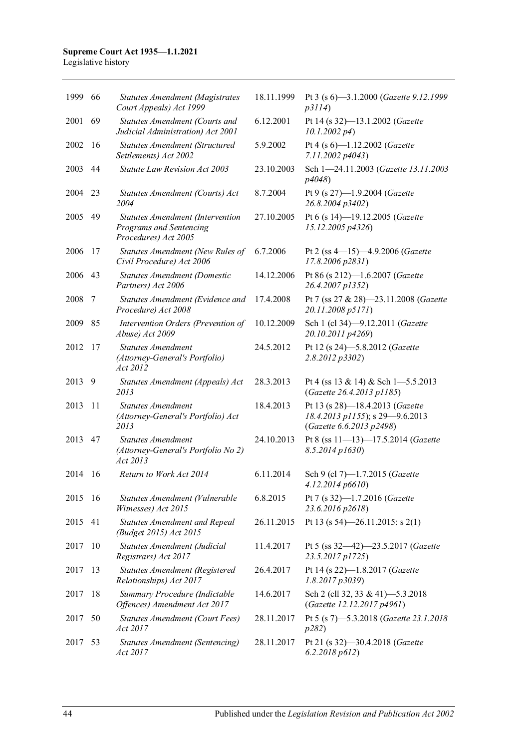#### **Supreme Court Act 1935—1.1.2021** Legislative history

| 1999 | 66  | <b>Statutes Amendment (Magistrates</b><br>Court Appeals) Act 1999                   | 18.11.1999 | Pt 3 (s 6)-3.1.2000 (Gazette 9.12.1999<br>p3114)                                               |
|------|-----|-------------------------------------------------------------------------------------|------------|------------------------------------------------------------------------------------------------|
| 2001 | 69  | Statutes Amendment (Courts and<br>Judicial Administration) Act 2001                 | 6.12.2001  | Pt 14 (s 32)-13.1.2002 (Gazette<br>10.1.2002 p4                                                |
| 2002 | 16  | Statutes Amendment (Structured<br>Settlements) Act 2002                             | 5.9.2002   | Pt 4 (s 6)-1.12.2002 (Gazette<br>7.11.2002 p4043)                                              |
| 2003 | 44  | Statute Law Revision Act 2003                                                       | 23.10.2003 | Sch 1-24.11.2003 (Gazette 13.11.2003<br>p4048)                                                 |
| 2004 | 23  | Statutes Amendment (Courts) Act<br>2004                                             | 8.7.2004   | Pt 9 (s 27)-1.9.2004 (Gazette<br>26.8.2004 p3402)                                              |
| 2005 | 49  | Statutes Amendment (Intervention<br>Programs and Sentencing<br>Procedures) Act 2005 | 27.10.2005 | Pt 6 (s 14)-19.12.2005 (Gazette<br>15.12.2005 p4326)                                           |
| 2006 | 17  | Statutes Amendment (New Rules of<br>Civil Procedure) Act 2006                       | 6.7.2006   | Pt 2 (ss $4-15$ ) $-4.9.2006$ ( <i>Gazette</i><br>17.8.2006 p2831)                             |
| 2006 | 43  | <b>Statutes Amendment (Domestic</b><br>Partners) Act 2006                           | 14.12.2006 | Pt 86 (s 212)-1.6.2007 (Gazette<br>26.4.2007 p1352)                                            |
| 2008 | 7   | Statutes Amendment (Evidence and<br>Procedure) Act 2008                             | 17.4.2008  | Pt 7 (ss 27 & 28)-23.11.2008 (Gazette<br>20.11.2008 p5171)                                     |
| 2009 | 85  | Intervention Orders (Prevention of<br>Abuse) Act 2009                               | 10.12.2009 | Sch 1 (cl 34)-9.12.2011 (Gazette<br>20.10.2011 p4269)                                          |
| 2012 | 17  | <b>Statutes Amendment</b><br>(Attorney-General's Portfolio)<br>Act 2012             | 24.5.2012  | Pt 12 (s 24)-5.8.2012 (Gazette<br>2.8.2012 p3302)                                              |
| 2013 | 9   | Statutes Amendment (Appeals) Act<br>2013                                            | 28.3.2013  | Pt 4 (ss 13 & 14) & Sch 1-5.5.2013<br>(Gazette 26.4.2013 p1185)                                |
| 2013 | 11  | <b>Statutes Amendment</b><br>(Attorney-General's Portfolio) Act<br>2013             | 18.4.2013  | Pt 13 (s 28)-18.4.2013 (Gazette<br>18.4.2013 p1155); s 29-9.6.2013<br>(Gazette 6.6.2013 p2498) |
| 2013 | 47  | <b>Statutes Amendment</b><br>(Attorney-General's Portfolio No 2)<br>Act 2013        | 24.10.2013 | Pt 8 (ss 11-13)-17.5.2014 (Gazette<br>$8.5.2014$ p $1630$ )                                    |
| 2014 | 16  | Return to Work Act 2014                                                             | 6.11.2014  | Sch 9 (cl 7)-1.7.2015 (Gazette<br>4.12.2014 p6610                                              |
| 2015 | -16 | Statutes Amendment (Vulnerable<br>Witnesses) Act 2015                               | 6.8.2015   | Pt 7 (s 32)-1.7.2016 (Gazette<br>23.6.2016 p2618)                                              |
| 2015 | 41  | <b>Statutes Amendment and Repeal</b><br>(Budget 2015) Act 2015                      | 26.11.2015 | Pt 13 (s $54$ )-26.11.2015: s 2(1)                                                             |
| 2017 | 10  | Statutes Amendment (Judicial<br>Registrars) Act 2017                                | 11.4.2017  | Pt 5 (ss 32-42)-23.5.2017 (Gazette<br>23.5.2017 p1725)                                         |
| 2017 | 13  | Statutes Amendment (Registered<br>Relationships) Act 2017                           | 26.4.2017  | Pt 14 (s 22)-1.8.2017 (Gazette<br>1.8.2017p3039                                                |
| 2017 | 18  | Summary Procedure (Indictable<br>Offences) Amendment Act 2017                       | 14.6.2017  | Sch 2 (cll 32, 33 & 41)-5.3.2018<br>(Gazette 12.12.2017 p4961)                                 |
| 2017 | 50  | Statutes Amendment (Court Fees)<br>Act 2017                                         | 28.11.2017 | Pt 5 (s 7)-5.3.2018 (Gazette 23.1.2018<br>p282)                                                |
| 2017 | 53  | Statutes Amendment (Sentencing)<br>Act 2017                                         | 28.11.2017 | Pt 21 (s 32)-30.4.2018 (Gazette<br>6.2.2018 p612)                                              |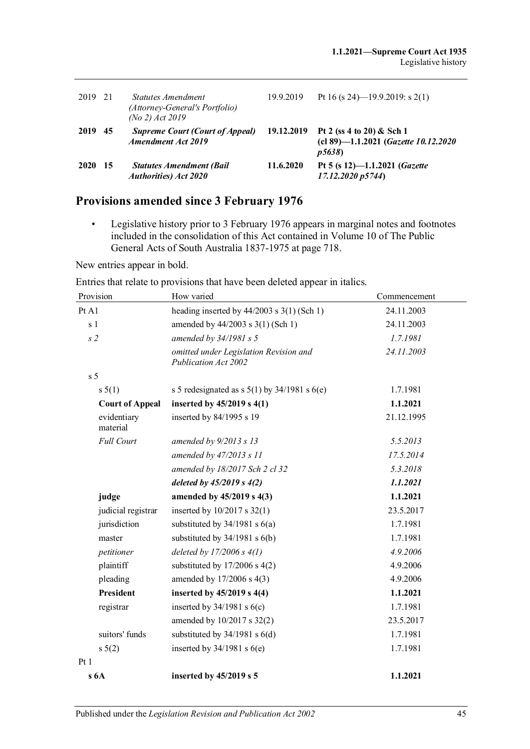| 2019 21     |     | Statutes Amendment<br>(Attorney-General's Portfolio)<br>$(No 2)$ Act 2019 | 19.9.2019  | Pt 16 (s 24)—19.9.2019: s 2(1)                                             |
|-------------|-----|---------------------------------------------------------------------------|------------|----------------------------------------------------------------------------|
| 2019        | 45  | <b>Supreme Court (Court of Appeal)</b><br><b>Amendment Act 2019</b>       | 19.12.2019 | Pt 2 (ss 4 to 20) & Sch 1<br>(cl 89)-1.1.2021 (Gazette 10.12.2020<br>p5638 |
| <b>2020</b> | -15 | <b>Statutes Amendment (Bail</b><br><b>Authorities</b> ) Act 2020          | 11.6.2020  | Pt 5 (s 12)-1.1.2021 (Gazette<br>17.12.2020 p5744)                         |

# **Provisions amended since 3 February 1976**

• Legislative history prior to 3 February 1976 appears in marginal notes and footnotes included in the consolidation of this Act contained in Volume 10 of The Public General Acts of South Australia 1837-1975 at page 718.

New entries appear in bold.

Entries that relate to provisions that have been deleted appear in italics.

| Provision               | How varied                                                     | Commencement |
|-------------------------|----------------------------------------------------------------|--------------|
| Pt A1                   | heading inserted by $44/2003$ s $3(1)$ (Sch 1)                 | 24.11.2003   |
| s <sub>1</sub>          | amended by 44/2003 s 3(1) (Sch 1)                              | 24.11.2003   |
| s <sub>2</sub>          | amended by 34/1981 s 5                                         | 1.7.1981     |
|                         | omitted under Legislation Revision and<br>Publication Act 2002 | 24.11.2003   |
| s <sub>5</sub>          |                                                                |              |
| s 5(1)                  | s 5 redesignated as s $5(1)$ by 34/1981 s 6(e)                 | 1.7.1981     |
| <b>Court of Appeal</b>  | inserted by 45/2019 s 4(1)                                     | 1.1.2021     |
| evidentiary<br>material | inserted by 84/1995 s 19                                       | 21.12.1995   |
| <b>Full Court</b>       | amended by $9/2013 s 13$                                       | 5.5.2013     |
|                         | amended by 47/2013 s 11                                        | 17.5.2014    |
|                         | amended by 18/2017 Sch 2 cl 32                                 | 5.3.2018     |
|                         | deleted by $45/2019$ s $4(2)$                                  | 1.1.2021     |
| judge                   | amended by 45/2019 s 4(3)                                      | 1.1.2021     |
| judicial registrar      | inserted by $10/2017$ s $32(1)$                                | 23.5.2017    |
| jurisdiction            | substituted by $34/1981$ s $6(a)$                              | 1.7.1981     |
| master                  | substituted by $34/1981$ s $6(b)$                              | 1.7.1981     |
| petitioner              | deleted by $17/2006 s 4(1)$                                    | 4.9.2006     |
| plaintiff               | substituted by $17/2006$ s $4(2)$                              | 4.9.2006     |
| pleading                | amended by 17/2006 s 4(3)                                      | 4.9.2006     |
| <b>President</b>        | inserted by 45/2019 s 4(4)                                     | 1.1.2021     |
| registrar               | inserted by $34/1981$ s $6(c)$                                 | 1.7.1981     |
|                         | amended by 10/2017 s 32(2)                                     | 23.5.2017    |
| suitors' funds          | substituted by $34/1981$ s $6(d)$                              | 1.7.1981     |
| s 5(2)                  | inserted by $34/1981$ s $6(e)$                                 | 1.7.1981     |
| Pt1                     |                                                                |              |
| s6A                     | inserted by 45/2019 s 5                                        | 1.1.2021     |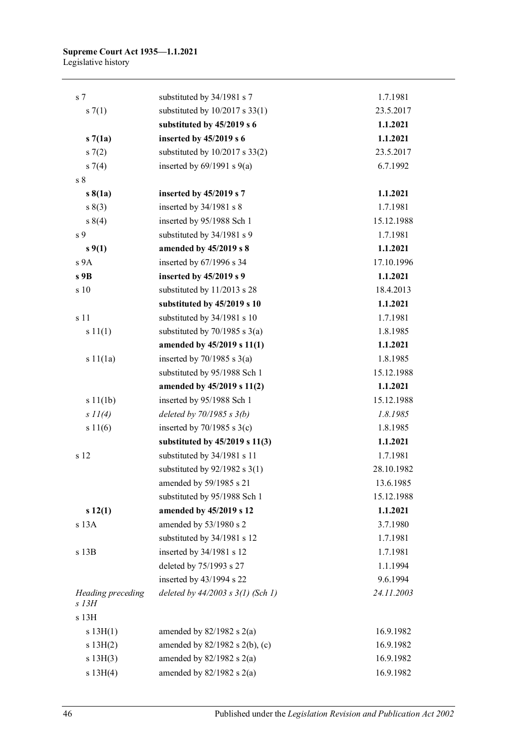| s <sub>7</sub>             | substituted by 34/1981 s 7            | 1.7.1981   |
|----------------------------|---------------------------------------|------------|
| s(7(1))                    | substituted by $10/2017$ s 33(1)      | 23.5.2017  |
|                            | substituted by 45/2019 s 6            | 1.1.2021   |
| s7(1a)                     | inserted by 45/2019 s 6               | 1.1.2021   |
| s(7(2)                     | substituted by 10/2017 s 33(2)        | 23.5.2017  |
| $s \, 7(4)$                | inserted by $69/1991$ s $9(a)$        | 6.7.1992   |
| s <sub>8</sub>             |                                       |            |
| $s\,8(1a)$                 | inserted by 45/2019 s 7               | 1.1.2021   |
| s(3)                       | inserted by 34/1981 s 8               | 1.7.1981   |
| s 8(4)                     | inserted by 95/1988 Sch 1             | 15.12.1988 |
| s 9                        | substituted by 34/1981 s 9            | 1.7.1981   |
| s(1)                       | amended by 45/2019 s 8                | 1.1.2021   |
| s 9A                       | inserted by 67/1996 s 34              | 17.10.1996 |
| s 9B                       | inserted by 45/2019 s 9               | 1.1.2021   |
| s 10                       | substituted by 11/2013 s 28           | 18.4.2013  |
|                            | substituted by 45/2019 s 10           | 1.1.2021   |
| s 11                       | substituted by 34/1981 s 10           | 1.7.1981   |
| s 11(1)                    | substituted by $70/1985$ s $3(a)$     | 1.8.1985   |
|                            | amended by 45/2019 s 11(1)            | 1.1.2021   |
| s11(1a)                    | inserted by $70/1985$ s $3(a)$        | 1.8.1985   |
|                            | substituted by 95/1988 Sch 1          | 15.12.1988 |
|                            | amended by 45/2019 s 11(2)            | 1.1.2021   |
| s 11(1b)                   | inserted by 95/1988 Sch 1             | 15.12.1988 |
| s 11(4)                    | deleted by $70/1985 s 3(b)$           | 1.8.1985   |
| s 11(6)                    | inserted by $70/1985$ s $3(c)$        | 1.8.1985   |
|                            | substituted by $45/2019$ s $11(3)$    | 1.1.2021   |
| s 12                       | substituted by 34/1981 s 11           | 1.7.1981   |
|                            | substituted by $92/1982$ s 3(1)       | 28.10.1982 |
|                            | amended by 59/1985 s 21               | 13.6.1985  |
|                            | substituted by 95/1988 Sch 1          | 15.12.1988 |
| s 12(1)                    | amended by 45/2019 s 12               | 1.1.2021   |
| s 13A                      | amended by 53/1980 s 2                | 3.7.1980   |
|                            | substituted by 34/1981 s 12           | 1.7.1981   |
| s 13B                      | inserted by 34/1981 s 12              | 1.7.1981   |
|                            | deleted by 75/1993 s 27               | 1.1.1994   |
|                            | inserted by 43/1994 s 22              | 9.6.1994   |
| Heading preceding<br>s 13H | deleted by $44/2003$ s $3(1)$ (Sch 1) | 24.11.2003 |
| s 13H                      |                                       |            |
| s 13H(1)                   | amended by $82/1982$ s $2(a)$         | 16.9.1982  |
| s 13H(2)                   | amended by $82/1982$ s $2(b)$ , (c)   | 16.9.1982  |
| s 13H(3)                   | amended by $82/1982$ s $2(a)$         | 16.9.1982  |
| s 13H(4)                   | amended by $82/1982$ s $2(a)$         | 16.9.1982  |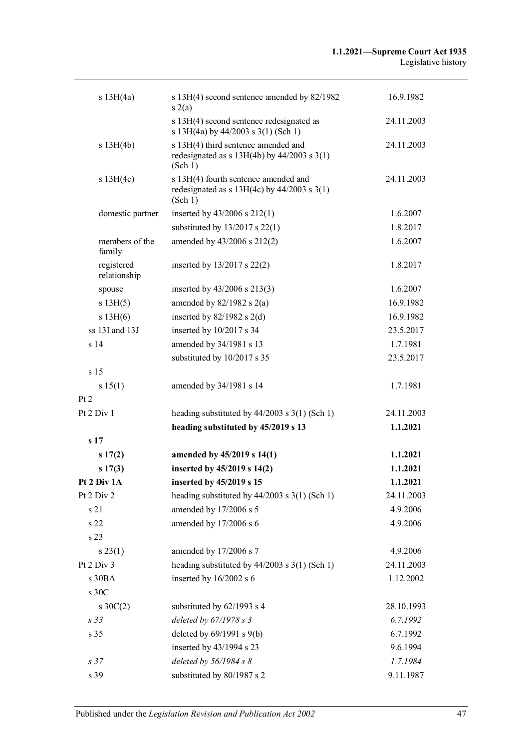| s 13H(4a)                  | s 13H(4) second sentence amended by 82/1982<br>s(2(a)                                              | 16.9.1982  |
|----------------------------|----------------------------------------------------------------------------------------------------|------------|
|                            | s 13H(4) second sentence redesignated as<br>s 13H(4a) by 44/2003 s 3(1) (Sch 1)                    | 24.11.2003 |
| s 13H(4b)                  | s 13H(4) third sentence amended and<br>redesignated as $s$ 13H(4b) by 44/2003 $s$ 3(1)<br>(Sch 1)  | 24.11.2003 |
| s 13H(4c)                  | s 13H(4) fourth sentence amended and<br>redesignated as $s$ 13H(4c) by 44/2003 $s$ 3(1)<br>(Sch 1) | 24.11.2003 |
| domestic partner           | inserted by $43/2006$ s $212(1)$                                                                   | 1.6.2007   |
|                            | substituted by $13/2017$ s $22(1)$                                                                 | 1.8.2017   |
| members of the<br>family   | amended by 43/2006 s 212(2)                                                                        | 1.6.2007   |
| registered<br>relationship | inserted by $13/2017$ s $22(2)$                                                                    | 1.8.2017   |
| spouse                     | inserted by $43/2006$ s $213(3)$                                                                   | 1.6.2007   |
| s 13H(5)                   | amended by $82/1982$ s $2(a)$                                                                      | 16.9.1982  |
| s 13H(6)                   | inserted by $82/1982$ s $2(d)$                                                                     | 16.9.1982  |
| ss 13I and 13J             | inserted by $10/2017$ s 34                                                                         | 23.5.2017  |
| s <sub>14</sub>            | amended by 34/1981 s 13                                                                            | 1.7.1981   |
|                            | substituted by 10/2017 s 35                                                                        | 23.5.2017  |
| s <sub>15</sub>            |                                                                                                    |            |
| s 15(1)                    | amended by 34/1981 s 14                                                                            | 1.7.1981   |
| Pt 2                       |                                                                                                    |            |
| Pt 2 Div 1                 | heading substituted by $44/2003$ s 3(1) (Sch 1)                                                    | 24.11.2003 |
|                            | heading substituted by 45/2019 s 13                                                                | 1.1.2021   |
| s <sub>17</sub>            |                                                                                                    |            |
| s17(2)                     | amended by 45/2019 s 14(1)                                                                         | 1.1.2021   |
| s17(3)                     | inserted by 45/2019 s 14(2)                                                                        | 1.1.2021   |
| Pt 2 Div 1A                | inserted by 45/2019 s 15                                                                           | 1.1.2021   |
| Pt 2 Div 2                 | heading substituted by $44/2003$ s 3(1) (Sch 1)                                                    | 24.11.2003 |
| s 21                       | amended by 17/2006 s 5                                                                             | 4.9.2006   |
| s 22                       | amended by 17/2006 s 6                                                                             | 4.9.2006   |
| s 23                       |                                                                                                    |            |
| s 23(1)                    | amended by 17/2006 s 7                                                                             | 4.9.2006   |
| Pt 2 Div 3                 | heading substituted by $44/2003$ s 3(1) (Sch 1)                                                    | 24.11.2003 |
| s 30BA                     | inserted by 16/2002 s 6                                                                            | 1.12.2002  |
| s 30C                      |                                                                                                    |            |
| $s \, 30C(2)$              | substituted by 62/1993 s 4                                                                         | 28.10.1993 |
| s 33                       | deleted by 67/1978 s 3                                                                             | 6.7.1992   |
| s 35                       | deleted by $69/1991$ s $9(b)$                                                                      | 6.7.1992   |
|                            | inserted by 43/1994 s 23                                                                           | 9.6.1994   |
| s <sub>37</sub>            | deleted by $56/1984 s 8$                                                                           | 1.7.1984   |
| s 39                       | substituted by 80/1987 s 2                                                                         | 9.11.1987  |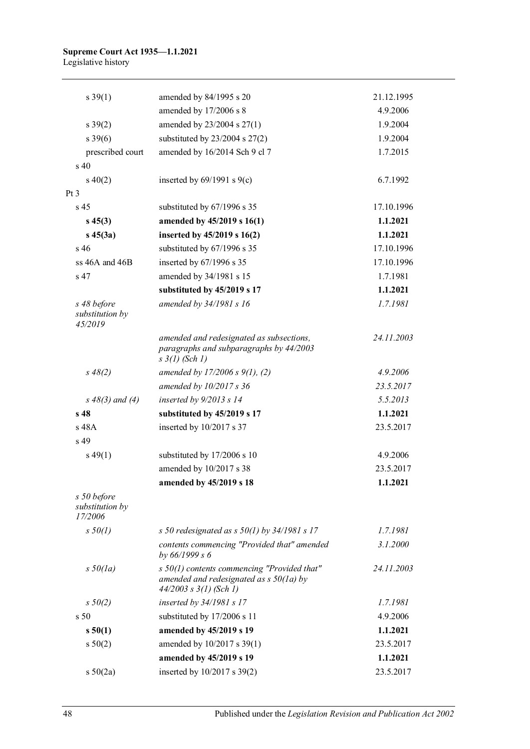#### **Supreme Court Act 1935—1.1.2021** Legislative history

| s 39(1)                                   | amended by 84/1995 s 20                                                                                                  | 21.12.1995 |
|-------------------------------------------|--------------------------------------------------------------------------------------------------------------------------|------------|
|                                           | amended by 17/2006 s 8                                                                                                   | 4.9.2006   |
| s 39(2)                                   | amended by 23/2004 s 27(1)                                                                                               | 1.9.2004   |
| s 39(6)                                   | substituted by $23/2004$ s $27(2)$                                                                                       | 1.9.2004   |
| prescribed court                          | amended by 16/2014 Sch 9 cl 7                                                                                            | 1.7.2015   |
| $s\,40$                                   |                                                                                                                          |            |
| $s\ 40(2)$                                | inserted by $69/1991$ s $9(c)$                                                                                           | 6.7.1992   |
| Pt <sub>3</sub>                           |                                                                                                                          |            |
| s <sub>45</sub>                           | substituted by 67/1996 s 35                                                                                              | 17.10.1996 |
| $s\,45(3)$                                | amended by 45/2019 s 16(1)                                                                                               | 1.1.2021   |
| $s\,45(3a)$                               | inserted by 45/2019 s 16(2)                                                                                              | 1.1.2021   |
| s <sub>46</sub>                           | substituted by 67/1996 s 35                                                                                              | 17.10.1996 |
| ss 46A and 46B                            | inserted by 67/1996 s 35                                                                                                 | 17.10.1996 |
| s 47                                      | amended by 34/1981 s 15                                                                                                  | 1.7.1981   |
|                                           | substituted by 45/2019 s 17                                                                                              | 1.1.2021   |
| s 48 before<br>substitution by<br>45/2019 | amended by 34/1981 s 16                                                                                                  | 1.7.1981   |
|                                           | amended and redesignated as subsections,<br>paragraphs and subparagraphs by 44/2003<br>$s \frac{3}{l}$ (Sch 1)           | 24.11.2003 |
| $s\,48(2)$                                | amended by $17/2006 s 9(1)$ , (2)                                                                                        | 4.9.2006   |
|                                           | amended by 10/2017 s 36                                                                                                  | 23.5.2017  |
| $s\,48(3)$ and (4)                        | inserted by $9/2013 s 14$                                                                                                | 5.5.2013   |
| s <sub>48</sub>                           | substituted by 45/2019 s 17                                                                                              | 1.1.2021   |
| s 48A                                     | inserted by 10/2017 s 37                                                                                                 | 23.5.2017  |
| s 49                                      |                                                                                                                          |            |
| $s\,49(1)$                                | substituted by 17/2006 s 10                                                                                              | 4.9.2006   |
|                                           | amended by 10/2017 s 38                                                                                                  | 23.5.2017  |
|                                           | amended by 45/2019 s 18                                                                                                  | 1.1.2021   |
| s 50 before<br>substitution by<br>17/2006 |                                                                                                                          |            |
| $s\,50(1)$                                | s 50 redesignated as s $50(1)$ by $34/1981$ s 17                                                                         | 1.7.1981   |
|                                           | contents commencing "Provided that" amended<br>by 66/1999 s 6                                                            | 3.1.2000   |
| $s\,50(la)$                               | $s$ 50(1) contents commencing "Provided that"<br>amended and redesignated as $s$ 50(1a) by<br>$44/2003$ s $3(1)$ (Sch 1) | 24.11.2003 |
| $s\,50(2)$                                | inserted by 34/1981 s 17                                                                                                 | 1.7.1981   |
| s <sub>50</sub>                           | substituted by 17/2006 s 11                                                                                              | 4.9.2006   |
| s 50(1)                                   | amended by 45/2019 s 19                                                                                                  | 1.1.2021   |
| s 50(2)                                   | amended by 10/2017 s 39(1)                                                                                               | 23.5.2017  |
|                                           | amended by 45/2019 s 19                                                                                                  | 1.1.2021   |
| s 50(2a)                                  | inserted by 10/2017 s 39(2)                                                                                              | 23.5.2017  |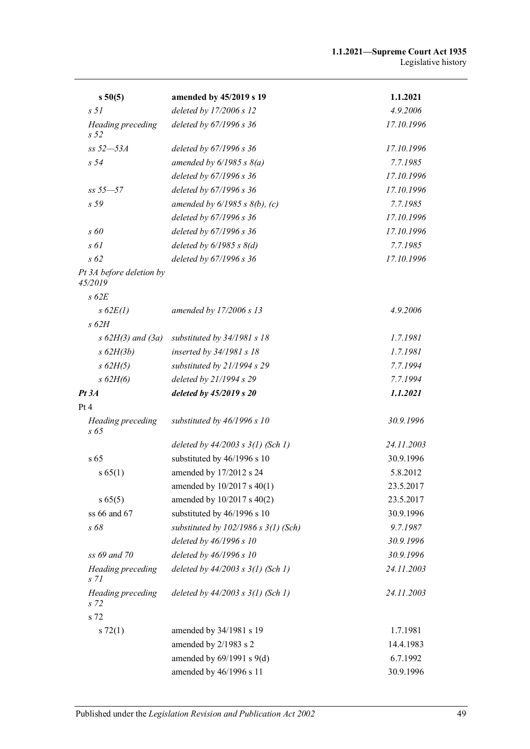| s 50(5)                              | amended by 45/2019 s 19                | 1.1.2021   |
|--------------------------------------|----------------------------------------|------------|
| s <sub>51</sub>                      | deleted by 17/2006 s 12                | 4.9.2006   |
| Heading preceding<br>s <sub>52</sub> | deleted by 67/1996 s 36                | 17.10.1996 |
| $ss 52 - 53A$                        | deleted by 67/1996 s 36                | 17.10.1996 |
| s <sub>54</sub>                      | amended by $6/1985 s 8(a)$             | 7.7.1985   |
|                                      | deleted by 67/1996 s 36                | 17.10.1996 |
| $ss 55 - 57$                         | deleted by 67/1996 s 36                | 17.10.1996 |
| s 59                                 | amended by $6/1985 s 8(b)$ , (c)       | 7.7.1985   |
|                                      | deleted by 67/1996 s 36                | 17.10.1996 |
| $s\,60$                              | deleted by 67/1996 s 36                | 17.10.1996 |
| $s \theta l$                         | deleted by $6/1985 s 8(d)$             | 7.7.1985   |
| $s\,62$                              | deleted by 67/1996 s 36                | 17.10.1996 |
| Pt 3A before deletion by<br>45/2019  |                                        |            |
| $s$ 62 $E$                           |                                        |            |
| $s$ 62 $E(1)$                        | amended by 17/2006 s 13                | 4.9.2006   |
| $s$ 62H                              |                                        |            |
| $s$ 62H(3) and (3a)                  | substituted by $34/1981 s 18$          | 1.7.1981   |
| $s$ 62H(3b)                          | inserted by 34/1981 s 18               | 1.7.1981   |
| $s$ 62H(5)                           | substituted by 21/1994 s 29            | 7.7.1994   |
| $s$ 62H(6)                           | deleted by 21/1994 s 29                | 7.7.1994   |
| Pt 3A                                | deleted by 45/2019 s 20                | 1.1.2021   |
| Pt 4                                 |                                        |            |
| Heading preceding<br>s 65            | substituted by $46/1996 s 10$          | 30.9.1996  |
|                                      | deleted by $44/2003$ s $3(1)$ (Sch 1)  | 24.11.2003 |
| s 65                                 | substituted by 46/1996 s 10            | 30.9.1996  |
| s 65(1)                              | amended by 17/2012 s 24                | 5.8.2012   |
|                                      | amended by $10/2017$ s $40(1)$         | 23.5.2017  |
| s 65(5)                              | amended by 10/2017 s 40(2)             | 23.5.2017  |
| ss 66 and 67                         | substituted by 46/1996 s 10            | 30.9.1996  |
| s 68                                 | substituted by $102/1986 s 3(1)$ (Sch) | 9.7.1987   |
|                                      | deleted by 46/1996 s 10                | 30.9.1996  |
| ss 69 and 70                         | deleted by 46/1996 s 10                | 30.9.1996  |
| Heading preceding<br>s <sub>71</sub> | deleted by $44/2003$ s $3(1)$ (Sch 1)  | 24.11.2003 |
| Heading preceding<br>s 72            | deleted by $44/2003$ s $3(1)$ (Sch 1)  | 24.11.2003 |
| s 72                                 |                                        |            |
| s 72(1)                              | amended by 34/1981 s 19                | 1.7.1981   |
|                                      | amended by 2/1983 s 2                  | 14.4.1983  |
|                                      | amended by 69/1991 s 9(d)              | 6.7.1992   |
|                                      | amended by 46/1996 s 11                | 30.9.1996  |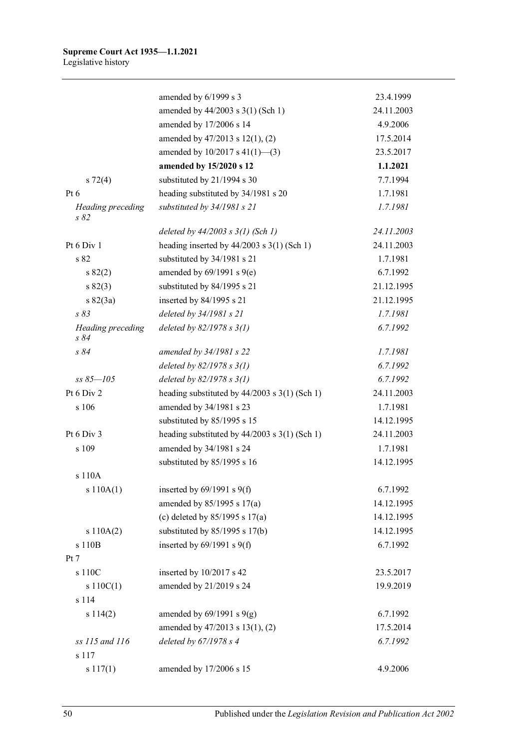|                           | amended by 6/1999 s 3                             | 23.4.1999  |
|---------------------------|---------------------------------------------------|------------|
|                           | amended by 44/2003 s 3(1) (Sch 1)                 | 24.11.2003 |
|                           | amended by 17/2006 s 14                           | 4.9.2006   |
|                           | amended by 47/2013 s 12(1), (2)                   | 17.5.2014  |
|                           | amended by $10/2017$ s $41(1)$ —(3)               | 23.5.2017  |
|                           | amended by 15/2020 s 12                           | 1.1.2021   |
| $s\ 72(4)$                | substituted by 21/1994 s 30                       | 7.7.1994   |
| Pt $6$                    | heading substituted by 34/1981 s 20               | 1.7.1981   |
| Heading preceding<br>s 82 | substituted by 34/1981 s 21                       | 1.7.1981   |
|                           | deleted by $44/2003$ s $3(1)$ (Sch 1)             | 24.11.2003 |
| Pt 6 Div 1                | heading inserted by $44/2003$ s $3(1)$ (Sch 1)    | 24.11.2003 |
| s 82                      | substituted by 34/1981 s 21                       | 1.7.1981   |
| s 82(2)                   | amended by $69/1991$ s $9(e)$                     | 6.7.1992   |
| s 82(3)                   | substituted by 84/1995 s 21                       | 21.12.1995 |
| $s \, 82(3a)$             | inserted by 84/1995 s 21                          | 21.12.1995 |
| s83                       | deleted by 34/1981 s 21                           | 1.7.1981   |
| Heading preceding<br>s84  | deleted by $82/1978 s 3(1)$                       | 6.7.1992   |
| s84                       | amended by 34/1981 s 22                           | 1.7.1981   |
|                           | deleted by $82/1978 s 3(1)$                       | 6.7.1992   |
| $ss 85 - 105$             | deleted by $82/1978 s 3(1)$                       | 6.7.1992   |
| Pt 6 Div 2                | heading substituted by $44/2003$ s 3(1) (Sch 1)   | 24.11.2003 |
| s 106                     | amended by 34/1981 s 23                           | 1.7.1981   |
|                           | substituted by 85/1995 s 15                       | 14.12.1995 |
| Pt $6$ Div $3$            | heading substituted by $44/2003$ s $3(1)$ (Sch 1) | 24.11.2003 |
| s 109                     | amended by 34/1981 s 24                           | 1.7.1981   |
|                           | substituted by 85/1995 s 16                       | 14.12.1995 |
| s 110A                    |                                                   |            |
| s 110A(1)                 | inserted by $69/1991$ s $9(f)$                    | 6.7.1992   |
|                           | amended by 85/1995 s 17(a)                        | 14.12.1995 |
|                           | (c) deleted by $85/1995$ s $17(a)$                | 14.12.1995 |
| s 110A(2)                 | substituted by $85/1995$ s 17(b)                  | 14.12.1995 |
| s 110B                    | inserted by $69/1991$ s $9(f)$                    | 6.7.1992   |
| Pt 7                      |                                                   |            |
| s 110C                    | inserted by 10/2017 s 42                          | 23.5.2017  |
| s $110C(1)$               | amended by 21/2019 s 24                           | 19.9.2019  |
| s 114                     |                                                   |            |
| s114(2)                   | amended by $69/1991$ s $9(g)$                     | 6.7.1992   |
|                           | amended by 47/2013 s 13(1), (2)                   | 17.5.2014  |
| ss 115 and 116            | deleted by $67/1978 s 4$                          | 6.7.1992   |
| s 117                     |                                                   |            |
| s 117(1)                  | amended by 17/2006 s 15                           | 4.9.2006   |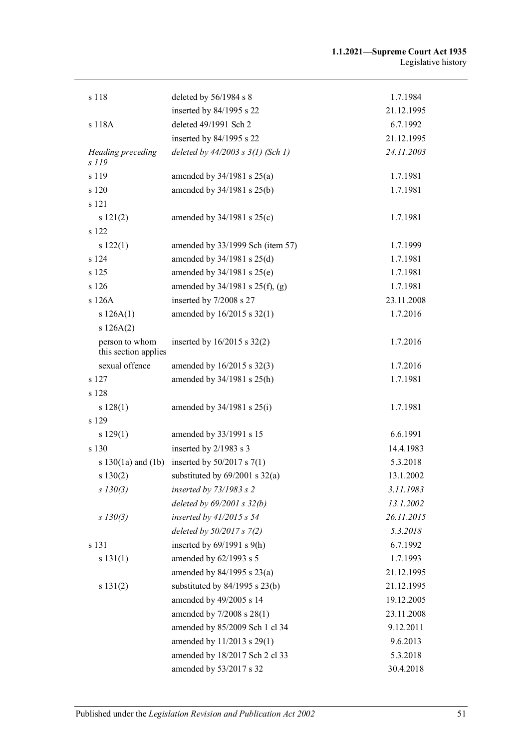| s 118                                  | deleted by $56/1984$ s 8                                       | 1.7.1984   |
|----------------------------------------|----------------------------------------------------------------|------------|
|                                        | inserted by 84/1995 s 22                                       | 21.12.1995 |
| s 118A                                 | deleted 49/1991 Sch 2                                          | 6.7.1992   |
|                                        | inserted by 84/1995 s 22                                       | 21.12.1995 |
| Heading preceding<br>$s$ 119           | deleted by $44/2003$ s $3(1)$ (Sch 1)                          | 24.11.2003 |
| s 119                                  | amended by $34/1981$ s $25(a)$                                 | 1.7.1981   |
| s 120                                  | amended by 34/1981 s 25(b)                                     | 1.7.1981   |
| s 121                                  |                                                                |            |
| s 121(2)                               | amended by $34/1981$ s $25(c)$                                 | 1.7.1981   |
| s 122                                  |                                                                |            |
|                                        |                                                                | 1.7.1999   |
| s 122(1)<br>s 124                      | amended by 33/1999 Sch (item 57)<br>amended by 34/1981 s 25(d) | 1.7.1981   |
| s 125                                  |                                                                | 1.7.1981   |
|                                        | amended by 34/1981 s 25(e)                                     | 1.7.1981   |
| s 126                                  | amended by $34/1981$ s $25(f)$ , (g)                           |            |
| s 126A                                 | inserted by 7/2008 s 27                                        | 23.11.2008 |
| s 126A(1)                              | amended by 16/2015 s 32(1)                                     | 1.7.2016   |
| s 126A(2)                              |                                                                |            |
| person to whom<br>this section applies | inserted by $16/2015$ s $32(2)$                                | 1.7.2016   |
| sexual offence                         | amended by 16/2015 s 32(3)                                     | 1.7.2016   |
| s 127                                  | amended by 34/1981 s 25(h)                                     | 1.7.1981   |
| s 128                                  |                                                                |            |
| s 128(1)                               | amended by $34/1981$ s $25(i)$                                 | 1.7.1981   |
| s 129                                  |                                                                |            |
| s 129(1)                               | amended by 33/1991 s 15                                        | 6.6.1991   |
| s 130                                  | inserted by 2/1983 s 3                                         | 14.4.1983  |
| s $130(1a)$ and $(1b)$                 | inserted by $50/2017$ s $7(1)$                                 | 5.3.2018   |
| s 130(2)                               | substituted by $69/2001$ s $32(a)$                             | 13.1.2002  |
| $s$ 130(3)                             | inserted by $73/1983$ s 2                                      | 3.11.1983  |
|                                        | deleted by $69/2001$ s $32(b)$                                 | 13.1.2002  |
| $s$ 130(3)                             | inserted by $41/2015$ s 54                                     | 26.11.2015 |
|                                        | deleted by $50/2017 s 7(2)$                                    | 5.3.2018   |
| s 131                                  | inserted by $69/1991$ s $9(h)$                                 | 6.7.1992   |
| s 131(1)                               | amended by 62/1993 s 5                                         | 1.7.1993   |
|                                        | amended by 84/1995 s 23(a)                                     | 21.12.1995 |
| s 131(2)                               | substituted by $84/1995$ s $23(b)$                             | 21.12.1995 |
|                                        | amended by 49/2005 s 14                                        | 19.12.2005 |
|                                        | amended by 7/2008 s 28(1)                                      | 23.11.2008 |
|                                        | amended by 85/2009 Sch 1 cl 34                                 | 9.12.2011  |
|                                        | amended by 11/2013 s 29(1)                                     | 9.6.2013   |
|                                        | amended by 18/2017 Sch 2 cl 33                                 | 5.3.2018   |
|                                        | amended by 53/2017 s 32                                        | 30.4.2018  |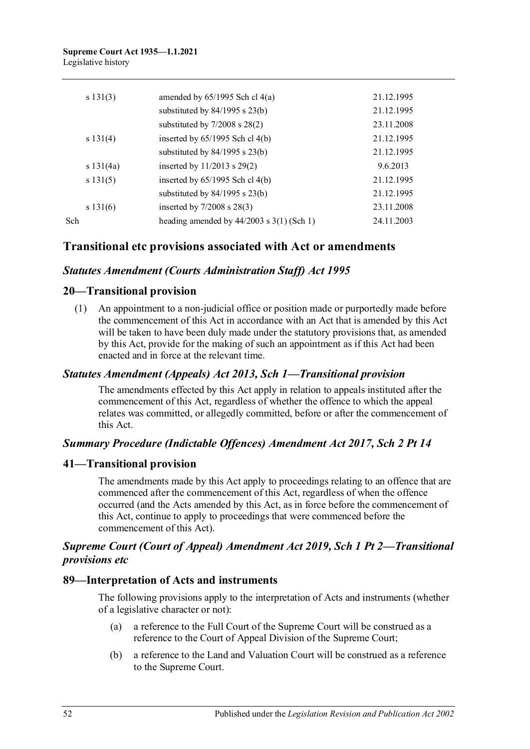| s 131(3) |                                   | amended by $65/1995$ Sch cl $4(a)$            | 21.12.1995 |
|----------|-----------------------------------|-----------------------------------------------|------------|
|          |                                   | substituted by $84/1995$ s $23(b)$            | 21.12.1995 |
|          | substituted by $7/2008$ s $28(2)$ | 23.11.2008                                    |            |
| s 131(4) |                                   | inserted by $65/1995$ Sch cl $4(b)$           | 21.12.1995 |
|          |                                   | substituted by $84/1995$ s $23(b)$            | 21.12.1995 |
|          | s 131(4a)                         | inserted by $11/2013$ s $29(2)$               | 9.6.2013   |
| s 131(5) |                                   | inserted by $65/1995$ Sch cl $4(b)$           | 21.12.1995 |
|          |                                   | substituted by $84/1995$ s $23(b)$            | 21.12.1995 |
|          | s 131(6)                          | inserted by $7/2008$ s $28(3)$                | 23.11.2008 |
| Sch      |                                   | heading amended by $44/2003$ s $3(1)$ (Sch 1) | 24.11.2003 |
|          |                                   |                                               |            |

# **Transitional etc provisions associated with Act or amendments**

# *Statutes Amendment (Courts Administration Staff) Act 1995*

## **20—Transitional provision**

(1) An appointment to a non-judicial office or position made or purportedly made before the commencement of this Act in accordance with an Act that is amended by this Act will be taken to have been duly made under the statutory provisions that, as amended by this Act, provide for the making of such an appointment as if this Act had been enacted and in force at the relevant time.

#### *Statutes Amendment (Appeals) Act 2013, Sch 1—Transitional provision*

The amendments effected by this Act apply in relation to appeals instituted after the commencement of this Act, regardless of whether the offence to which the appeal relates was committed, or allegedly committed, before or after the commencement of this Act.

## *Summary Procedure (Indictable Offences) Amendment Act 2017, Sch 2 Pt 14*

#### **41—Transitional provision**

The amendments made by this Act apply to proceedings relating to an offence that are commenced after the commencement of this Act, regardless of when the offence occurred (and the Acts amended by this Act, as in force before the commencement of this Act, continue to apply to proceedings that were commenced before the commencement of this Act).

## *Supreme Court (Court of Appeal) Amendment Act 2019, Sch 1 Pt 2—Transitional provisions etc*

#### **89—Interpretation of Acts and instruments**

The following provisions apply to the interpretation of Acts and instruments (whether of a legislative character or not):

- (a) a reference to the Full Court of the Supreme Court will be construed as a reference to the Court of Appeal Division of the Supreme Court;
- (b) a reference to the Land and Valuation Court will be construed as a reference to the Supreme Court.